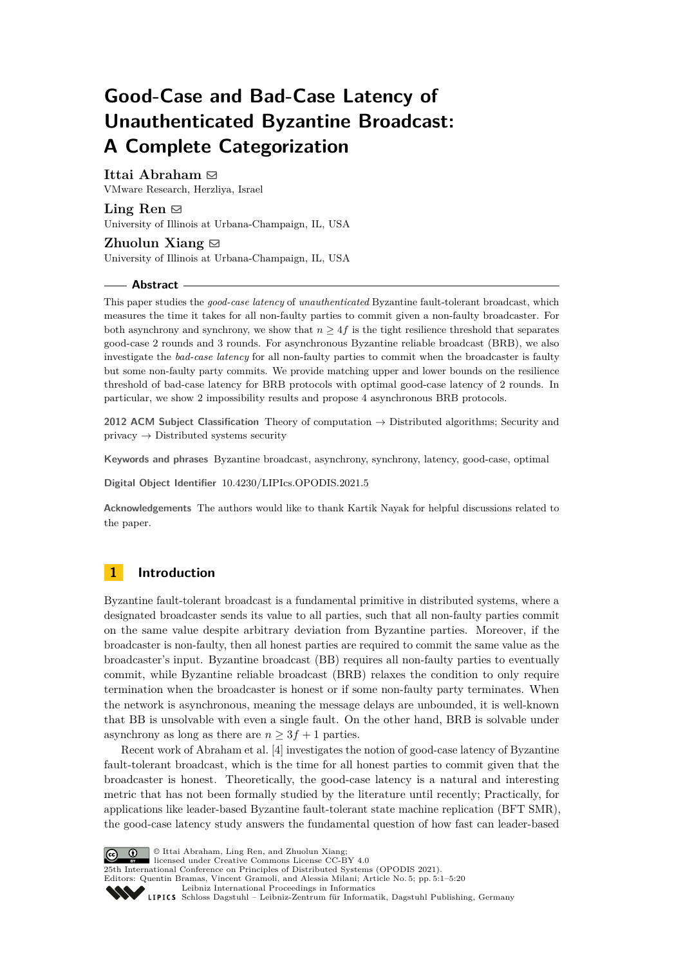# **Good-Case and Bad-Case Latency of Unauthenticated Byzantine Broadcast: A Complete Categorization**

# **Ittai Abraham** ⊠

VMware Research, Herzliya, Israel

Ling Ren  $\boxtimes$ University of Illinois at Urbana-Champaign, IL, USA

**Zhuolun Xiang**  $\boxtimes$ University of Illinois at Urbana-Champaign, IL, USA

#### **Abstract**

This paper studies the *good-case latency* of *unauthenticated* Byzantine fault-tolerant broadcast, which measures the time it takes for all non-faulty parties to commit given a non-faulty broadcaster. For both asynchrony and synchrony, we show that  $n \geq 4f$  is the tight resilience threshold that separates good-case 2 rounds and 3 rounds. For asynchronous Byzantine reliable broadcast (BRB), we also investigate the *bad-case latency* for all non-faulty parties to commit when the broadcaster is faulty but some non-faulty party commits. We provide matching upper and lower bounds on the resilience threshold of bad-case latency for BRB protocols with optimal good-case latency of 2 rounds. In particular, we show 2 impossibility results and propose 4 asynchronous BRB protocols.

**2012 ACM Subject Classification** Theory of computation → Distributed algorithms; Security and  $\text{private}$   $\rightarrow$  Distributed systems security

**Keywords and phrases** Byzantine broadcast, asynchrony, synchrony, latency, good-case, optimal

**Digital Object Identifier** [10.4230/LIPIcs.OPODIS.2021.5](https://doi.org/10.4230/LIPIcs.OPODIS.2021.5)

**Acknowledgements** The authors would like to thank Kartik Nayak for helpful discussions related to the paper.

# **1 Introduction**

Byzantine fault-tolerant broadcast is a fundamental primitive in distributed systems, where a designated broadcaster sends its value to all parties, such that all non-faulty parties commit on the same value despite arbitrary deviation from Byzantine parties. Moreover, if the broadcaster is non-faulty, then all honest parties are required to commit the same value as the broadcaster's input. Byzantine broadcast (BB) requires all non-faulty parties to eventually commit, while Byzantine reliable broadcast (BRB) relaxes the condition to only require termination when the broadcaster is honest or if some non-faulty party terminates. When the network is asynchronous, meaning the message delays are unbounded, it is well-known that BB is unsolvable with even a single fault. On the other hand, BRB is solvable under asynchrony as long as there are  $n \geq 3f + 1$  parties.

Recent work of Abraham et al. [\[4\]](#page-15-0) investigates the notion of good-case latency of Byzantine fault-tolerant broadcast, which is the time for all honest parties to commit given that the broadcaster is honest. Theoretically, the good-case latency is a natural and interesting metric that has not been formally studied by the literature until recently; Practically, for applications like leader-based Byzantine fault-tolerant state machine replication (BFT SMR), the good-case latency study answers the fundamental question of how fast can leader-based

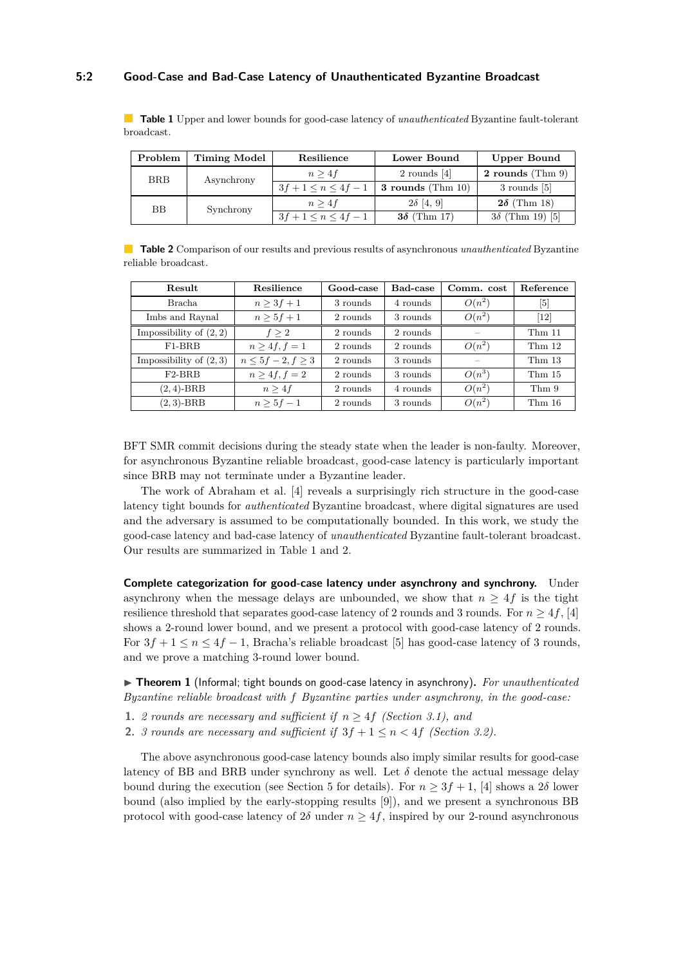### **5:2 Good-Case and Bad-Case Latency of Unauthenticated Byzantine Broadcast**

<span id="page-1-0"></span>**Table 1** Upper and lower bounds for good-case latency of *unauthenticated* Byzantine fault-tolerant broadcast.

| Problem   | Timing Model | Resilience           | Lower Bound                     | <b>Upper Bound</b>  |  |
|-----------|--------------|----------------------|---------------------------------|---------------------|--|
| BRB       | Asynchrony   |                      | $2$ rounds $ 4 $                | 2 rounds (Thm $9$ ) |  |
|           |              | $1 \leq n \leq 4f-1$ | $\frac{1}{2}$ s rounds (Thm 10) | $3$ rounds $ 5 $    |  |
| <b>BB</b> | Synchrony    |                      | $2\delta$  4, 9                 | $2\delta$ (Thm 18)  |  |
|           |              |                      | (Thm 17)                        | Thm 19) [5]         |  |

<span id="page-1-1"></span>**Table 2** Comparison of our results and previous results of asynchronous *unauthenticated* Byzantine reliable broadcast.

| Result                    | Resilience              | Good-case | Bad-case | Comm. cost | Reference            |
|---------------------------|-------------------------|-----------|----------|------------|----------------------|
| Bracha                    | $n > 3f + 1$            | 3 rounds  | 4 rounds | $O(n^2)$   | $\lceil 5 \rceil$    |
| Imbs and Raynal           | $n > 5f + 1$            | 2 rounds  | 3 rounds | $O(n^2)$   | $^{\left[12\right]}$ |
| Impossibility of $(2, 2)$ | f > 2                   | 2 rounds  | 2 rounds |            | Thm <sub>11</sub>    |
| $F1-BRB$                  | $n > 4f, f = 1$         | 2 rounds  | 2 rounds | $O(n^2)$   | Thm <sub>12</sub>    |
| Impossibility of $(2,3)$  | $n \leq 5f-2, f \geq 3$ | 2 rounds  | 3 rounds |            | Thm <sub>13</sub>    |
| $F2-BRB$                  | $n > 4f, f = 2$         | 2 rounds  | 3 rounds | $O(n^3)$   | Thm <sub>15</sub>    |
| $(2,4)-BRB$               | n > 4f                  | 2 rounds  | 4 rounds | $O(n^2)$   | Thm 9                |
| $(2,3)$ -BRB              | $n > 5f - 1$            | 2 rounds  | 3 rounds | $O(n^2)$   | Thm16                |

BFT SMR commit decisions during the steady state when the leader is non-faulty. Moreover, for asynchronous Byzantine reliable broadcast, good-case latency is particularly important since BRB may not terminate under a Byzantine leader.

The work of Abraham et al. [\[4\]](#page-15-0) reveals a surprisingly rich structure in the good-case latency tight bounds for *authenticated* Byzantine broadcast, where digital signatures are used and the adversary is assumed to be computationally bounded. In this work, we study the good-case latency and bad-case latency of *unauthenticated* Byzantine fault-tolerant broadcast. Our results are summarized in Table [1](#page-1-0) and [2.](#page-1-1)

**Complete categorization for good-case latency under asynchrony and synchrony.** Under asynchrony when the message delays are unbounded, we show that  $n \geq 4f$  is the tight resilience threshold that separates good-case latency of 2 rounds and 3 rounds. For  $n \geq 4f$ , [\[4\]](#page-15-0) shows a 2-round lower bound, and we present a protocol with good-case latency of 2 rounds. For  $3f + 1 \le n \le 4f - 1$ , Bracha's reliable broadcast [\[5\]](#page-15-1) has good-case latency of 3 rounds, and we prove a matching 3-round lower bound.

▶ **Theorem 1** (Informal; tight bounds on good-case latency in asynchrony)**.** *For unauthenticated Byzantine reliable broadcast with f Byzantine parties under asynchrony, in the good-case:*

- **1.** *2 rounds are necessary and sufficient if*  $n \geq 4f$  *(Section [3.1\)](#page-4-0), and*
- **2.** *3 rounds are necessary and sufficient if*  $3f + 1 \leq n \leq 4f$  *(Section [3.2\)](#page-6-1).*

The above asynchronous good-case latency bounds also imply similar results for good-case latency of BB and BRB under synchrony as well. Let  $\delta$  denote the actual message delay bound during the execution (see Section [5](#page-12-0) for details). For  $n \geq 3f + 1$ , [\[4\]](#page-15-0) shows a 2δ lower bound (also implied by the early-stopping results [\[9\]](#page-15-2)), and we present a synchronous BB protocol with good-case latency of  $2\delta$  under  $n \geq 4f$ , inspired by our 2-round asynchronous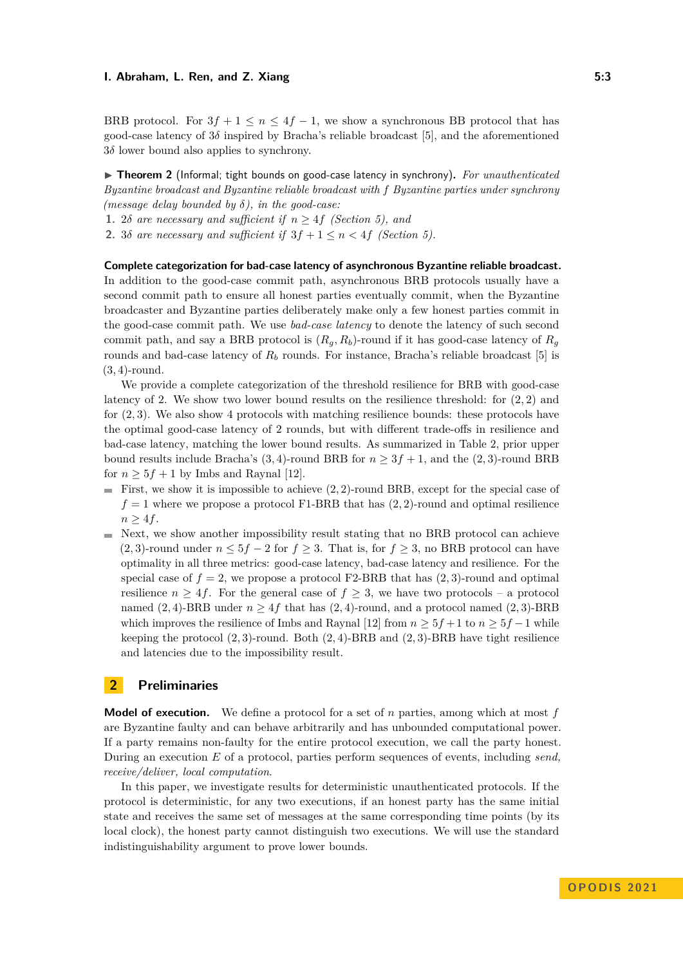BRB protocol. For  $3f + 1 \le n \le 4f - 1$ , we show a synchronous BB protocol that has good-case latency of 3*δ* inspired by Bracha's reliable broadcast [\[5\]](#page-15-1), and the aforementioned 3*δ* lower bound also applies to synchrony.

▶ **Theorem 2** (Informal; tight bounds on good-case latency in synchrony)**.** *For unauthenticated Byzantine broadcast and Byzantine reliable broadcast with f Byzantine parties under synchrony (message delay bounded by δ), in the good-case:*

1. 2*δ are necessary and sufficient if*  $n \geq 4f$  *(Section [5\)](#page-12-0), and* 

**2.** 3*δ are necessary and sufficient if*  $3f + 1 \leq n \leq 4f$  *(Section [5\)](#page-12-0).* 

**Complete categorization for bad-case latency of asynchronous Byzantine reliable broadcast.** In addition to the good-case commit path, asynchronous BRB protocols usually have a second commit path to ensure all honest parties eventually commit, when the Byzantine broadcaster and Byzantine parties deliberately make only a few honest parties commit in the good-case commit path. We use *bad-case latency* to denote the latency of such second commit path, and say a BRB protocol is  $(R_q, R_b)$ -round if it has good-case latency of  $R_q$ rounds and bad-case latency of *R<sup>b</sup>* rounds. For instance, Bracha's reliable broadcast [\[5\]](#page-15-1) is (3*,* 4)-round.

We provide a complete categorization of the threshold resilience for BRB with good-case latency of 2. We show two lower bound results on the resilience threshold: for (2*,* 2) and for (2*,* 3). We also show 4 protocols with matching resilience bounds: these protocols have the optimal good-case latency of 2 rounds, but with different trade-offs in resilience and bad-case latency, matching the lower bound results. As summarized in Table [2,](#page-1-1) prior upper bound results include Bracha's (3, 4)-round BRB for  $n \geq 3f + 1$ , and the (2, 3)-round BRB for  $n \geq 5f + 1$  by Imbs and Raynal [\[12\]](#page-16-0).

- First, we show it is impossible to achieve  $(2, 2)$ -round BRB, except for the special case of  $f = 1$  where we propose a protocol F1-BRB that has  $(2, 2)$ -round and optimal resilience  $n > 4f$ .
- $\blacksquare$  Next, we show another impossibility result stating that no BRB protocol can achieve (2, 3)-round under  $n \leq 5f - 2$  for  $f \geq 3$ . That is, for  $f \geq 3$ , no BRB protocol can have optimality in all three metrics: good-case latency, bad-case latency and resilience. For the special case of  $f = 2$ , we propose a protocol F2-BRB that has  $(2, 3)$ -round and optimal resilience  $n \geq 4f$ . For the general case of  $f \geq 3$ , we have two protocols – a protocol named (2, 4)-BRB under  $n \geq 4f$  that has (2, 4)-round, and a protocol named (2, 3)-BRB which improves the resilience of Imbs and Raynal [\[12\]](#page-16-0) from  $n \geq 5f + 1$  to  $n \geq 5f - 1$  while keeping the protocol (2*,* 3)-round. Both (2*,* 4)-BRB and (2*,* 3)-BRB have tight resilience and latencies due to the impossibility result.

# **2 Preliminaries**

**Model of execution.** We define a protocol for a set of *n* parties, among which at most *f* are Byzantine faulty and can behave arbitrarily and has unbounded computational power. If a party remains non-faulty for the entire protocol execution, we call the party honest. During an execution *E* of a protocol, parties perform sequences of events, including *send, receive/deliver, local computation*.

In this paper, we investigate results for deterministic unauthenticated protocols. If the protocol is deterministic, for any two executions, if an honest party has the same initial state and receives the same set of messages at the same corresponding time points (by its local clock), the honest party cannot distinguish two executions. We will use the standard indistinguishability argument to prove lower bounds.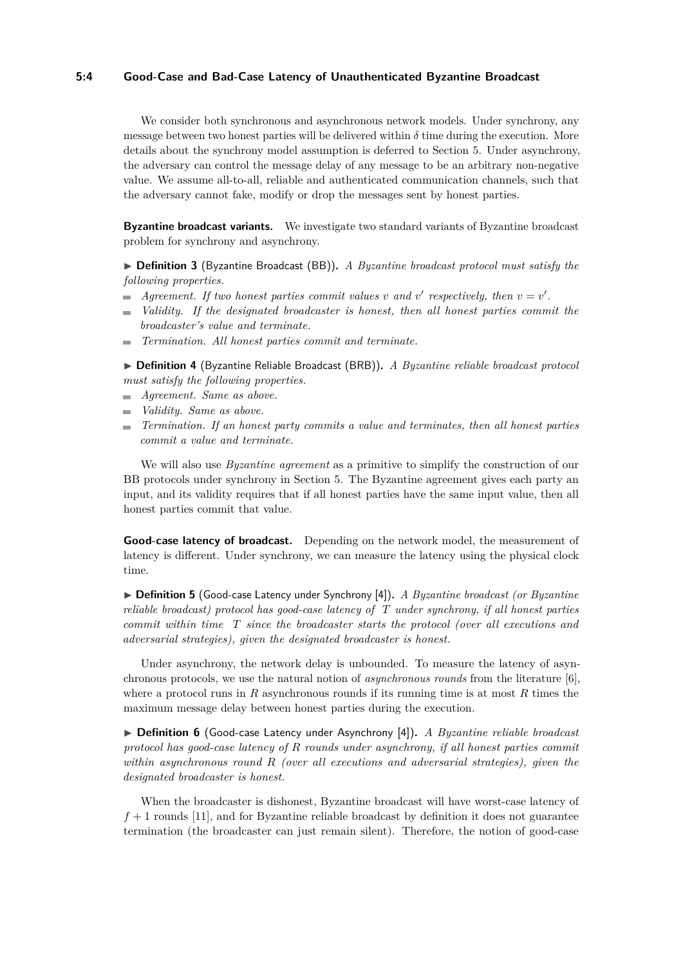#### **5:4 Good-Case and Bad-Case Latency of Unauthenticated Byzantine Broadcast**

We consider both synchronous and asynchronous network models. Under synchrony, any message between two honest parties will be delivered within  $\delta$  time during the execution. More details about the synchrony model assumption is deferred to Section [5.](#page-12-0) Under asynchrony, the adversary can control the message delay of any message to be an arbitrary non-negative value. We assume all-to-all, reliable and authenticated communication channels, such that the adversary cannot fake, modify or drop the messages sent by honest parties.

**Byzantine broadcast variants.** We investigate two standard variants of Byzantine broadcast problem for synchrony and asynchrony.

▶ **Definition 3** (Byzantine Broadcast (BB))**.** *A Byzantine broadcast protocol must satisfy the following properties.*

- *Agreement. If two honest parties commit values v* and *v*' respectively, then  $v = v'$ .
- *Validity. If the designated broadcaster is honest, then all honest parties commit the*  $\blacksquare$ *broadcaster's value and terminate.*
- *Termination. All honest parties commit and terminate.*  $\mathcal{L}_{\mathcal{A}}$

▶ **Definition 4** (Byzantine Reliable Broadcast (BRB))**.** *A Byzantine reliable broadcast protocol must satisfy the following properties.*

*Agreement. Same as above.*

- *Validity. Same as above.*
- *Termination. If an honest party commits a value and terminates, then all honest parties commit a value and terminate.*

We will also use *Byzantine agreement* as a primitive to simplify the construction of our BB protocols under synchrony in Section [5.](#page-12-0) The Byzantine agreement gives each party an input, and its validity requires that if all honest parties have the same input value, then all honest parties commit that value.

**Good-case latency of broadcast.** Depending on the network model, the measurement of latency is different. Under synchrony, we can measure the latency using the physical clock time.

▶ **Definition 5** (Good-case Latency under Synchrony [\[4\]](#page-15-0))**.** *A Byzantine broadcast (or Byzantine reliable broadcast) protocol has good-case latency of T under synchrony, if all honest parties commit within time T since the broadcaster starts the protocol (over all executions and adversarial strategies), given the designated broadcaster is honest.*

Under asynchrony, the network delay is unbounded. To measure the latency of asynchronous protocols, we use the natural notion of *asynchronous rounds* from the literature [\[6\]](#page-15-3), where a protocol runs in *R* asynchronous rounds if its running time is at most *R* times the maximum message delay between honest parties during the execution.

▶ **Definition 6** (Good-case Latency under Asynchrony [\[4\]](#page-15-0))**.** *A Byzantine reliable broadcast protocol has good-case latency of R rounds under asynchrony, if all honest parties commit within asynchronous round R (over all executions and adversarial strategies), given the designated broadcaster is honest.*

When the broadcaster is dishonest, Byzantine broadcast will have worst-case latency of  $f + 1$  rounds [\[11\]](#page-15-4), and for Byzantine reliable broadcast by definition it does not guarantee termination (the broadcaster can just remain silent). Therefore, the notion of good-case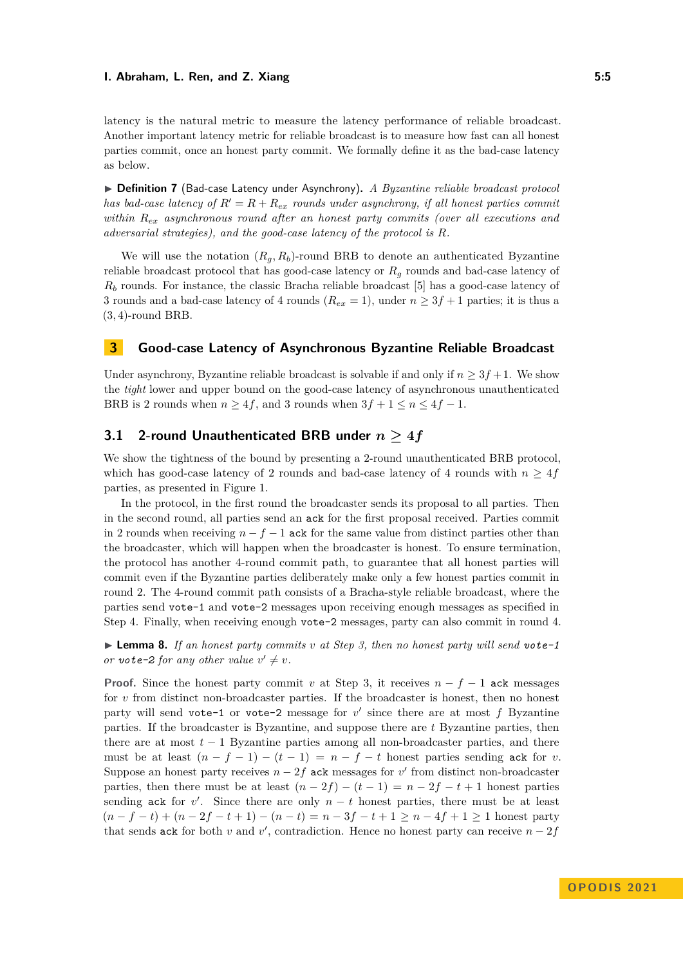#### **I. Abraham, L. Ren, and Z. Xiang 5:5**

latency is the natural metric to measure the latency performance of reliable broadcast. Another important latency metric for reliable broadcast is to measure how fast can all honest parties commit, once an honest party commit. We formally define it as the bad-case latency as below.

▶ **Definition 7** (Bad-case Latency under Asynchrony)**.** *A Byzantine reliable broadcast protocol has bad-case latency of*  $R' = R + R_{ex}$  *rounds under asynchrony, if all honest parties commit within Rex asynchronous round after an honest party commits (over all executions and adversarial strategies), and the good-case latency of the protocol is R.*

We will use the notation  $(R_q, R_b)$ -round BRB to denote an authenticated Byzantine reliable broadcast protocol that has good-case latency or *R<sup>g</sup>* rounds and bad-case latency of *R<sup>b</sup>* rounds. For instance, the classic Bracha reliable broadcast [\[5\]](#page-15-1) has a good-case latency of 3 rounds and a bad-case latency of 4 rounds ( $R_{ex} = 1$ ), under  $n \geq 3f + 1$  parties; it is thus a (3*,* 4)-round BRB.

# <span id="page-4-2"></span>**3 Good-case Latency of Asynchronous Byzantine Reliable Broadcast**

Under asynchrony, Byzantine reliable broadcast is solvable if and only if  $n \geq 3f + 1$ . We show the *tight* lower and upper bound on the good-case latency of asynchronous unauthenticated BRB is 2 rounds when  $n \geq 4f$ , and 3 rounds when  $3f + 1 \leq n \leq 4f - 1$ .

### <span id="page-4-0"></span>**3.1 2-round Unauthenticated BRB under**  $n \geq 4f$

We show the tightness of the bound by presenting a 2-round unauthenticated BRB protocol, which has good-case latency of 2 rounds and bad-case latency of 4 rounds with  $n \geq 4f$ parties, as presented in Figure [1.](#page-5-1)

In the protocol, in the first round the broadcaster sends its proposal to all parties. Then in the second round, all parties send an ack for the first proposal received. Parties commit in 2 rounds when receiving  $n - f - 1$  ack for the same value from distinct parties other than the broadcaster, which will happen when the broadcaster is honest. To ensure termination, the protocol has another 4-round commit path, to guarantee that all honest parties will commit even if the Byzantine parties deliberately make only a few honest parties commit in round 2. The 4-round commit path consists of a Bracha-style reliable broadcast, where the parties send vote-1 and vote-2 messages upon receiving enough messages as specified in Step [4.](#page-5-2) Finally, when receiving enough vote-2 messages, party can also commit in round 4.

<span id="page-4-1"></span>▶ **Lemma 8.** *If an honest party commits v at Step [3,](#page-5-3) then no honest party will send vote-1 or vote-2 for any other value*  $v' \neq v$ *.* 

**Proof.** Since the honest party commit *v* at Step [3,](#page-5-3) it receives  $n - f - 1$  ack messages for *v* from distinct non-broadcaster parties. If the broadcaster is honest, then no honest party will send vote-1 or vote-2 message for  $v'$  since there are at most  $f$  Byzantine parties. If the broadcaster is Byzantine, and suppose there are *t* Byzantine parties, then there are at most  $t-1$  Byzantine parties among all non-broadcaster parties, and there must be at least  $(n - f - 1) - (t - 1) = n - f - t$  honest parties sending ack for *v*. Suppose an honest party receives  $n - 2f$  ack messages for  $v'$  from distinct non-broadcaster parties, then there must be at least  $(n-2f) - (t-1) = n-2f - t + 1$  honest parties sending ack for  $v'$ . Since there are only  $n - t$  honest parties, there must be at least  $(n - f - t) + (n - 2f - t + 1) - (n - t) = n - 3f - t + 1 ≥ n - 4f + 1 ≥ 1$  honest party that sends ack for both *v* and *v*<sup>'</sup>, contradiction. Hence no honest party can receive  $n - 2f$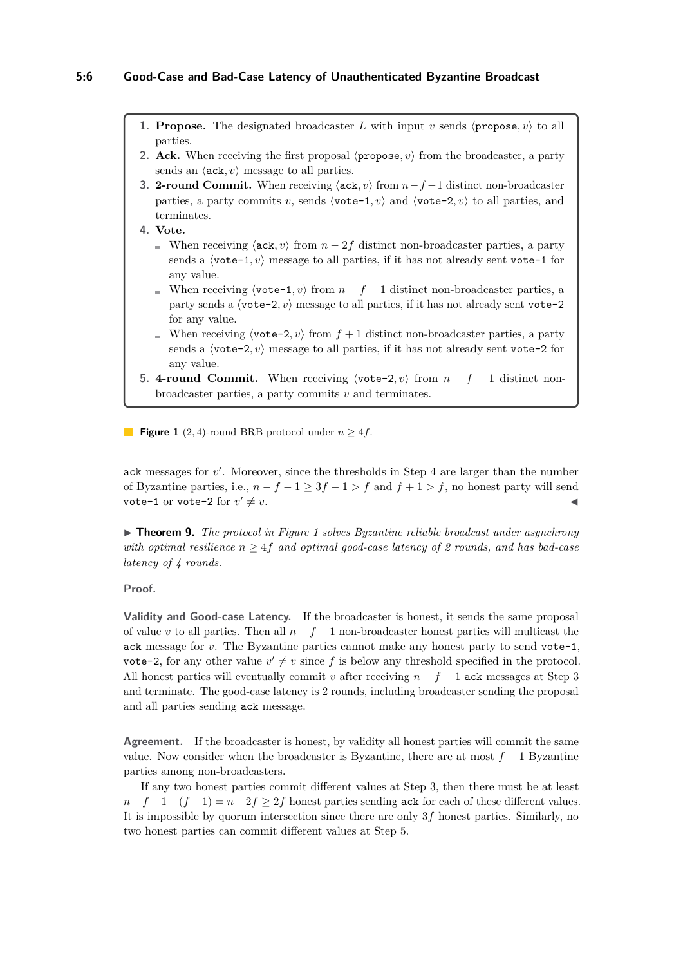#### **5:6 Good-Case and Bad-Case Latency of Unauthenticated Byzantine Broadcast**

- <span id="page-5-1"></span>**1. Propose.** The designated broadcaster *L* with input *v* sends  $\langle$  **propose**, *v* $\rangle$  to all parties.
- **2. Ack.** When receiving the first proposal  $\langle$ **propose**,  $v \rangle$  from the broadcaster, a party sends an  $\langle$ **ack**, *v* $\rangle$  message to all parties.
- <span id="page-5-3"></span>**3. 2-round Commit.** When receiving ⟨ack*, v*⟩ from *n*−*f* −1 distinct non-broadcaster parties, a party commits *v*, sends  $\langle \text{vote-1}, v \rangle$  and  $\langle \text{vote-2}, v \rangle$  to all parties, and terminates.
- <span id="page-5-2"></span>**4. Vote.**
	- When receiving  $\langle \text{ack}, v \rangle$  from  $n 2f$  distinct non-broadcaster parties, a party sends a  $\langle \text{vote-1}, v \rangle$  message to all parties, if it has not already sent vote-1 for any value.
	- When receiving  $\langle \text{vote-1}, v \rangle$  from  $n f 1$  distinct non-broadcaster parties, a party sends a  $\langle \text{vote-2}, v \rangle$  message to all parties, if it has not already sent vote-2 for any value.
	- When receiving  $\langle \text{vote-2}, v \rangle$  from  $f + 1$  distinct non-broadcaster parties, a party sends a  $\langle \text{vote-2}, v \rangle$  message to all parties, if it has not already sent vote-2 for any value.
- <span id="page-5-4"></span>**5. 4-round Commit.** When receiving  $\langle \text{vote-2}, v \rangle$  from  $n - f - 1$  distinct nonbroadcaster parties, a party commits *v* and terminates.

**Figure 1** (2, 4)-round BRB protocol under  $n \geq 4f$ .

ack messages for  $v'$ . Moreover, since the thresholds in Step [4](#page-5-2) are larger than the number of Byzantine parties, i.e.,  $n - f - 1 \geq 3f - 1 > f$  and  $f + 1 > f$ , no honest party will send vote-1 or vote-2 for  $v' \neq v$ .  $\prime \neq v.$ 

<span id="page-5-0"></span>▶ **Theorem 9.** *The protocol in Figure [1](#page-5-1) solves Byzantine reliable broadcast under asynchrony with optimal resilience*  $n \geq 4f$  *and optimal good-case latency of 2 rounds, and has bad-case latency of 4 rounds.*

#### **Proof.**

**Validity and Good-case Latency.** If the broadcaster is honest, it sends the same proposal of value *v* to all parties. Then all *n* − *f* − 1 non-broadcaster honest parties will multicast the ack message for *v*. The Byzantine parties cannot make any honest party to send vote-1, vote-2, for any other value  $v' \neq v$  since f is below any threshold specified in the protocol. All honest parties will eventually commit *v* after receiving  $n - f - 1$  ack messages at Step [3](#page-5-3) and terminate. The good-case latency is 2 rounds, including broadcaster sending the proposal and all parties sending ack message.

**Agreement.** If the broadcaster is honest, by validity all honest parties will commit the same value. Now consider when the broadcaster is Byzantine, there are at most  $f - 1$  Byzantine parties among non-broadcasters.

If any two honest parties commit different values at Step [3,](#page-5-3) then there must be at least  $n-f-1-(f-1) = n-2f > 2f$  honest parties sending ack for each of these different values. It is impossible by quorum intersection since there are only 3*f* honest parties. Similarly, no two honest parties can commit different values at Step [5.](#page-5-4)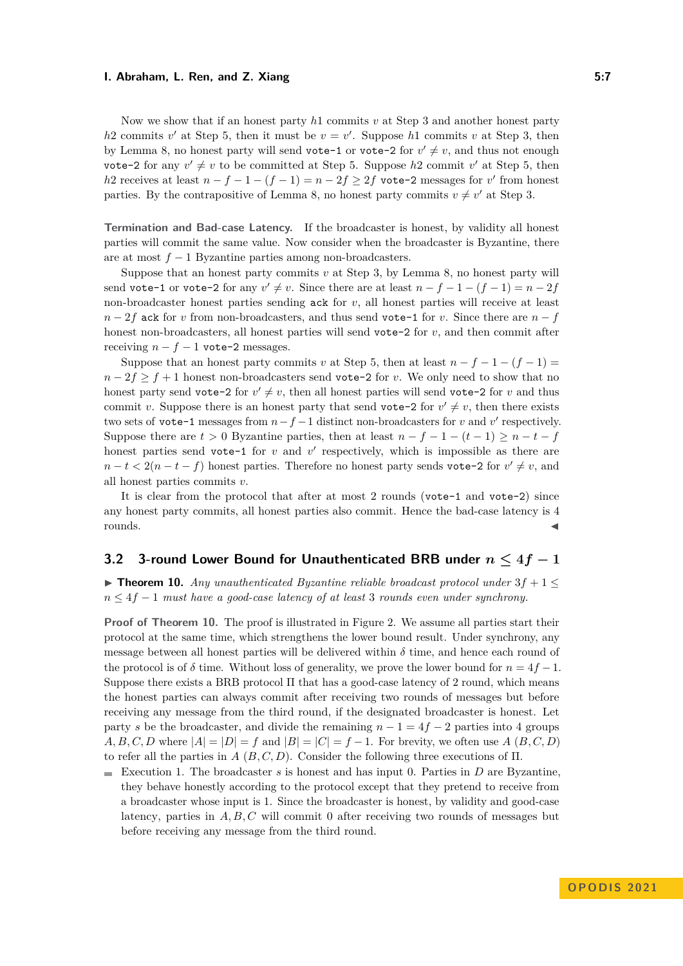#### **I. Abraham, L. Ren, and Z. Xiang 5:7**

Now we show that if an honest party *h*1 commits *v* at Step [3](#page-5-3) and another honest party  $h$ 2 commits *v*<sup>'</sup> at Step [5,](#page-5-4) then it must be  $v = v'$ . Suppose  $h$ 1 commits *v* at Step [3,](#page-5-3) then by Lemma [8,](#page-4-1) no honest party will send vote-1 or vote-2 for  $v' \neq v$ , and thus not enough vote-2 for any  $v' \neq v$  to be committed at Step [5.](#page-5-4) Suppose  $h$ 2 commit  $v'$  at Step [5,](#page-5-4) then *h*2 receives at least  $n - f - 1 - (f - 1) = n - 2f \ge 2f$  vote-2 messages for *v*' from honest parties. By the contrapositive of Lemma [8,](#page-4-1) no honest party commits  $v \neq v'$  at Step [3.](#page-5-3)

**Termination and Bad-case Latency.** If the broadcaster is honest, by validity all honest parties will commit the same value. Now consider when the broadcaster is Byzantine, there are at most *f* − 1 Byzantine parties among non-broadcasters.

Suppose that an honest party commits  $v$  at Step [3,](#page-5-3) by Lemma [8,](#page-4-1) no honest party will send vote-1 or vote-2 for any  $v' \neq v$ . Since there are at least  $n - f - 1 - (f - 1) = n - 2f$ non-broadcaster honest parties sending ack for *v*, all honest parties will receive at least  $n-2f$  ack for *v* from non-broadcasters, and thus send vote-1 for *v*. Since there are  $n-f$ honest non-broadcasters, all honest parties will send vote-2 for *v*, and then commit after receiving  $n - f - 1$  vote-2 messages.

Suppose that an honest party commits *v* at Step [5,](#page-5-4) then at least  $n - f - 1 - (f - 1) =$  $n-2f \ge f+1$  honest non-broadcasters send vote-2 for *v*. We only need to show that no honest party send vote-2 for  $v' \neq v$ , then all honest parties will send vote-2 for *v* and thus commit *v*. Suppose there is an honest party that send vote-2 for  $v' \neq v$ , then there exists two sets of vote-1 messages from  $n-f-1$  distinct non-broadcasters for *v* and *v*' respectively. Suppose there are  $t > 0$  Byzantine parties, then at least  $n - f - 1 - (t - 1) \geq n - t - f$ honest parties send vote-1 for  $v$  and  $v'$  respectively, which is impossible as there are  $n - t < 2(n - t - f)$  honest parties. Therefore no honest party sends vote-2 for  $v' \neq v$ , and all honest parties commits *v*.

It is clear from the protocol that after at most 2 rounds (vote-1 and vote-2) since any honest party commits, all honest parties also commit. Hence the bad-case latency is 4 rounds. ◀

# <span id="page-6-1"></span>**3.2** 3-round Lower Bound for Unauthenticated BRB under  $n \leq 4f - 1$

<span id="page-6-0"></span>▶ **Theorem 10.** *Any unauthenticated Byzantine reliable broadcast protocol under*  $3f + 1 ≤$ *n* ≤ 4*f* − 1 *must have a good-case latency of at least* 3 *rounds even under synchrony.*

**Proof of Theorem [10.](#page-6-0)** The proof is illustrated in Figure [2.](#page-7-0) We assume all parties start their protocol at the same time, which strengthens the lower bound result. Under synchrony, any message between all honest parties will be delivered within  $\delta$  time, and hence each round of the protocol is of  $\delta$  time. Without loss of generality, we prove the lower bound for  $n = 4f - 1$ . Suppose there exists a BRB protocol Π that has a good-case latency of 2 round, which means the honest parties can always commit after receiving two rounds of messages but before receiving any message from the third round, if the designated broadcaster is honest. Let party *s* be the broadcaster, and divide the remaining  $n - 1 = 4f - 2$  parties into 4 groups *A, B, C, D* where  $|A| = |D| = f$  and  $|B| = |C| = f - 1$ . For brevity, we often use *A*  $(B, C, D)$ to refer all the parties in *A* (*B, C, D*). Consider the following three executions of Π.

 $\blacksquare$  Execution 1. The broadcaster *s* is honest and has input 0. Parties in *D* are Byzantine, they behave honestly according to the protocol except that they pretend to receive from a broadcaster whose input is 1. Since the broadcaster is honest, by validity and good-case latency, parties in *A, B, C* will commit 0 after receiving two rounds of messages but before receiving any message from the third round.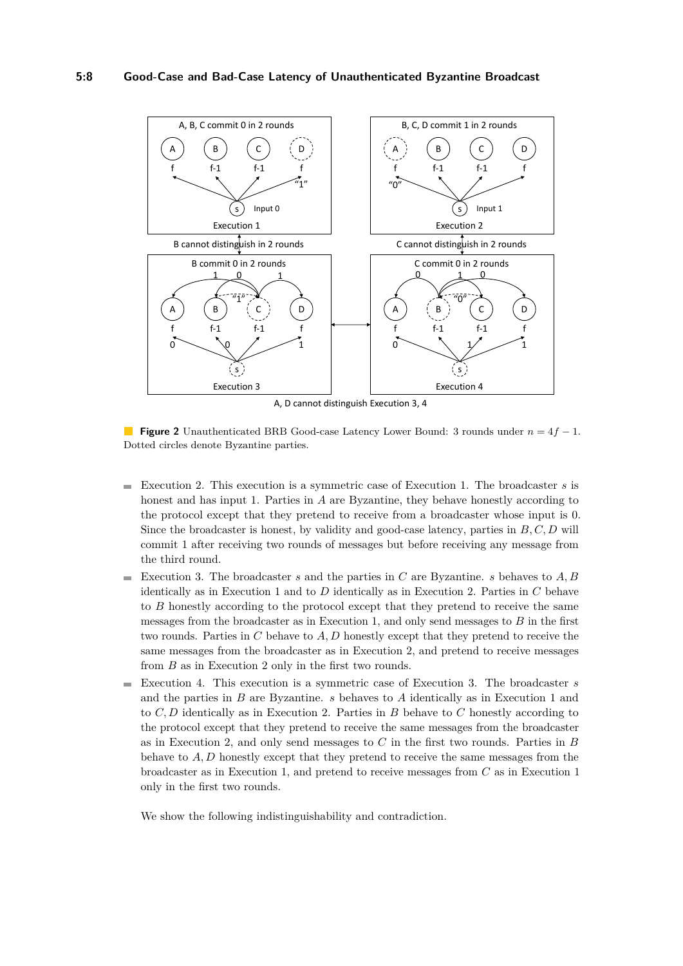<span id="page-7-0"></span>

A, D cannot distinguish Execution 3, 4

**Figure 2** Unauthenticated BRB Good-case Latency Lower Bound: 3 rounds under *n* = 4*f* − 1. Dotted circles denote Byzantine parties.

- Execution 2. This execution is a symmetric case of Execution 1. The broadcaster *s* is honest and has input 1. Parties in *A* are Byzantine, they behave honestly according to the protocol except that they pretend to receive from a broadcaster whose input is 0. Since the broadcaster is honest, by validity and good-case latency, parties in *B, C, D* will commit 1 after receiving two rounds of messages but before receiving any message from the third round.
- Execution 3. The broadcaster *s* and the parties in *C* are Byzantine. *s* behaves to  $A, B$ identically as in Execution 1 and to *D* identically as in Execution 2. Parties in *C* behave to *B* honestly according to the protocol except that they pretend to receive the same messages from the broadcaster as in Execution 1, and only send messages to *B* in the first two rounds. Parties in *C* behave to *A, D* honestly except that they pretend to receive the same messages from the broadcaster as in Execution 2, and pretend to receive messages from *B* as in Execution 2 only in the first two rounds.
- Execution 4. This execution is a symmetric case of Execution 3. The broadcaster *s*  $\blacksquare$ and the parties in *B* are Byzantine. *s* behaves to *A* identically as in Execution 1 and to *C, D* identically as in Execution 2. Parties in *B* behave to *C* honestly according to the protocol except that they pretend to receive the same messages from the broadcaster as in Execution 2, and only send messages to *C* in the first two rounds. Parties in *B* behave to *A, D* honestly except that they pretend to receive the same messages from the broadcaster as in Execution 1, and pretend to receive messages from *C* as in Execution 1 only in the first two rounds.

We show the following indistinguishability and contradiction.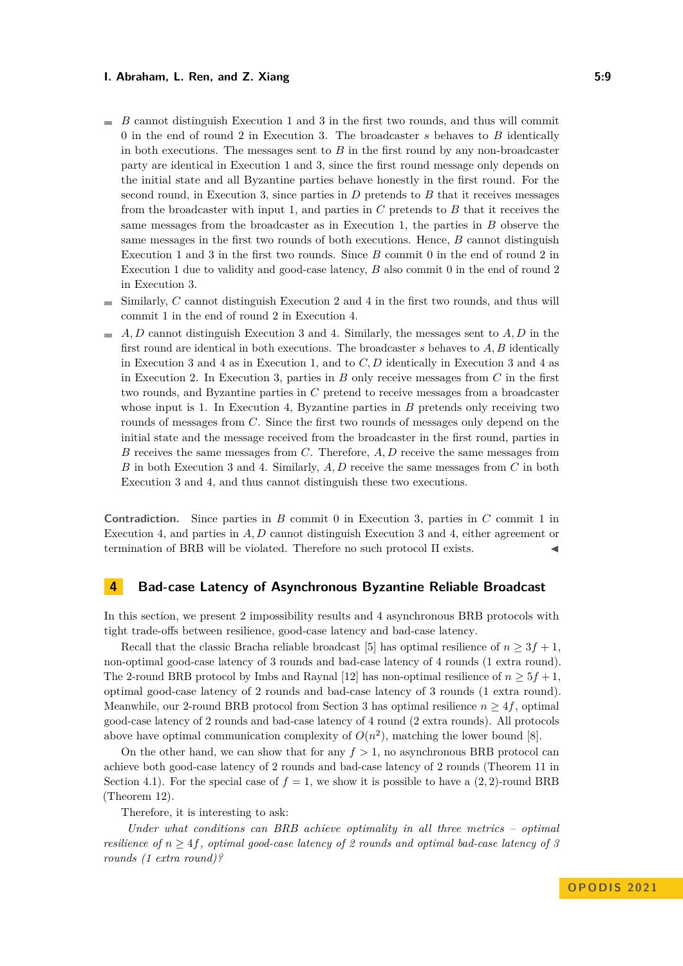#### **I. Abraham, L. Ren, and Z. Xiang 5:9 1. Abraham, L. Ren, and Z. Xiang 5:9**

- $B$  cannot distinguish Execution 1 and 3 in the first two rounds, and thus will commit 0 in the end of round 2 in Execution 3. The broadcaster *s* behaves to *B* identically in both executions. The messages sent to *B* in the first round by any non-broadcaster party are identical in Execution 1 and 3, since the first round message only depends on the initial state and all Byzantine parties behave honestly in the first round. For the second round, in Execution 3, since parties in *D* pretends to *B* that it receives messages from the broadcaster with input 1, and parties in *C* pretends to *B* that it receives the same messages from the broadcaster as in Execution 1, the parties in *B* observe the same messages in the first two rounds of both executions. Hence, *B* cannot distinguish Execution 1 and 3 in the first two rounds. Since *B* commit 0 in the end of round 2 in Execution 1 due to validity and good-case latency, *B* also commit 0 in the end of round 2 in Execution 3.
- Similarly, *C* cannot distinguish Execution 2 and 4 in the first two rounds, and thus will commit 1 in the end of round 2 in Execution 4.
- *A, D* cannot distinguish Execution 3 and 4. Similarly, the messages sent to *A, D* in the first round are identical in both executions. The broadcaster *s* behaves to *A, B* identically in Execution 3 and 4 as in Execution 1, and to *C, D* identically in Execution 3 and 4 as in Execution 2. In Execution 3, parties in *B* only receive messages from *C* in the first two rounds, and Byzantine parties in *C* pretend to receive messages from a broadcaster whose input is 1. In Execution 4, Byzantine parties in *B* pretends only receiving two rounds of messages from *C*. Since the first two rounds of messages only depend on the initial state and the message received from the broadcaster in the first round, parties in *B* receives the same messages from *C*. Therefore, *A, D* receive the same messages from *B* in both Execution 3 and 4. Similarly, *A, D* receive the same messages from *C* in both Execution 3 and 4, and thus cannot distinguish these two executions.

**Contradiction.** Since parties in *B* commit 0 in Execution 3, parties in *C* commit 1 in Execution 4, and parties in *A, D* cannot distinguish Execution 3 and 4, either agreement or termination of BRB will be violated. Therefore no such protocol Π exists.

### **4 Bad-case Latency of Asynchronous Byzantine Reliable Broadcast**

In this section, we present 2 impossibility results and 4 asynchronous BRB protocols with tight trade-offs between resilience, good-case latency and bad-case latency.

Recall that the classic Bracha reliable broadcast [\[5\]](#page-15-1) has optimal resilience of  $n \geq 3f + 1$ , non-optimal good-case latency of 3 rounds and bad-case latency of 4 rounds (1 extra round). The 2-round BRB protocol by Imbs and Raynal [\[12\]](#page-16-0) has non-optimal resilience of  $n \geq 5f + 1$ , optimal good-case latency of 2 rounds and bad-case latency of 3 rounds (1 extra round). Meanwhile, our 2-round BRB protocol from Section [3](#page-4-2) has optimal resilience  $n \geq 4f$ , optimal good-case latency of 2 rounds and bad-case latency of 4 round (2 extra rounds). All protocols above have optimal communication complexity of  $O(n^2)$ , matching the lower bound [\[8\]](#page-15-5).

On the other hand, we can show that for any  $f > 1$ , no asynchronous BRB protocol can achieve both good-case latency of 2 rounds and bad-case latency of 2 rounds (Theorem [11](#page-9-0) in Section [4.1\)](#page-9-2). For the special case of  $f = 1$ , we show it is possible to have a  $(2, 2)$ -round BRB (Theorem [12\)](#page-9-1).

Therefore, it is interesting to ask:

*Under what conditions can BRB achieve optimality in all three metrics – optimal resilience of*  $n \geq 4f$ *, optimal good-case latency of* 2 *rounds and optimal bad-case latency of* 3 *rounds (1 extra round)?*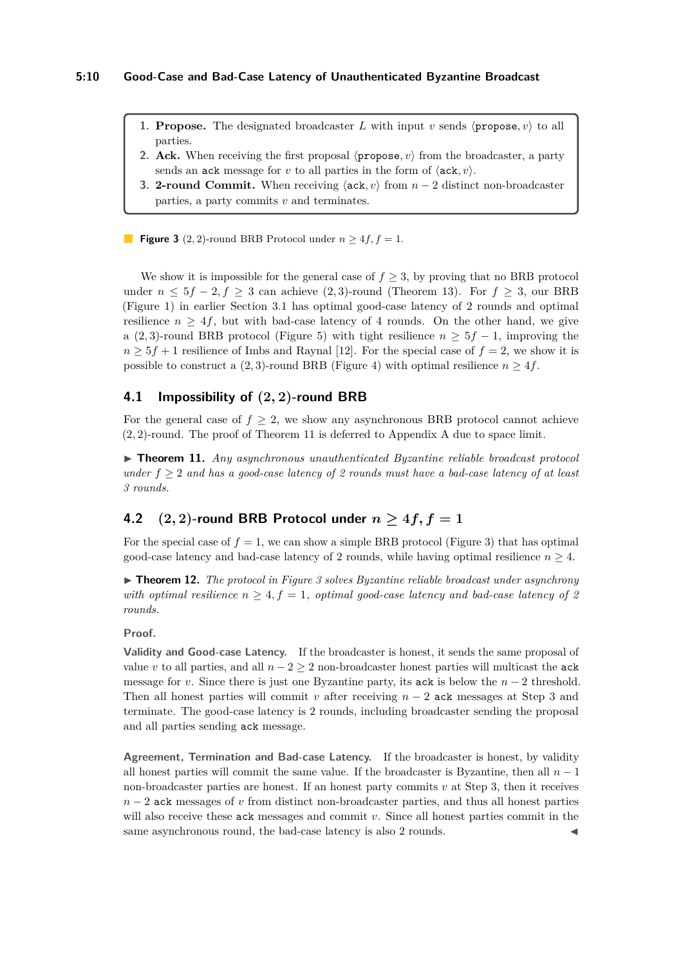- <span id="page-9-3"></span>**1. Propose.** The designated broadcaster *L* with input *v* sends  $\langle$  **propose**, *v* $\rangle$  to all parties.
- **2. Ack.** When receiving the first proposal  $\langle$ **propose**,  $v \rangle$  from the broadcaster, a party sends an ack message for *v* to all parties in the form of  $\langle$  ack, *v* $\rangle$ .
- <span id="page-9-4"></span>**3. 2-round Commit.** When receiving  $\langle \textbf{ack}, v \rangle$  from  $n-2$  distinct non-broadcaster parties, a party commits *v* and terminates.

**Figure 3** (2, 2)-round BRB Protocol under  $n \geq 4f$ ,  $f = 1$ .

We show it is impossible for the general case of  $f \geq 3$ , by proving that no BRB protocol under  $n \leq 5f - 2, f \geq 3$  can achieve (2,3)-round (Theorem [13\)](#page-10-0). For  $f \geq 3$ , our BRB (Figure [1\)](#page-5-1) in earlier Section [3.1](#page-4-0) has optimal good-case latency of 2 rounds and optimal resilience  $n > 4f$ , but with bad-case latency of 4 rounds. On the other hand, we give a (2,3)-round BRB protocol (Figure [5\)](#page-12-1) with tight resilience  $n \geq 5f - 1$ , improving the  $n \geq 5f + 1$  resilience of Imbs and Raynal [\[12\]](#page-16-0). For the special case of  $f = 2$ , we show it is possible to construct a  $(2, 3)$ -round BRB (Figure [4\)](#page-10-2) with optimal resilience  $n \geq 4f$ .

### <span id="page-9-2"></span>**4.1 Impossibility of (2***,* **2)-round BRB**

For the general case of  $f \geq 2$ , we show any asynchronous BRB protocol cannot achieve (2*,* 2)-round. The proof of Theorem [11](#page-9-0) is deferred to Appendix [A](#page-16-1) due to space limit.

<span id="page-9-0"></span>▶ **Theorem 11.** *Any asynchronous unauthenticated Byzantine reliable broadcast protocol under f* ≥ 2 *and has a good-case latency of 2 rounds must have a bad-case latency of at least 3 rounds.*

# **4.2**  $(2, 2)$ -round BRB Protocol under  $n > 4f$ ,  $f = 1$

For the special case of  $f = 1$ , we can show a simple BRB protocol (Figure [3\)](#page-9-3) that has optimal good-case latency and bad-case latency of 2 rounds, while having optimal resilience  $n \geq 4$ .

<span id="page-9-1"></span>▶ **Theorem 12.** *The protocol in Figure [3](#page-9-3) solves Byzantine reliable broadcast under asynchrony with optimal resilience*  $n \geq 4$ ,  $f = 1$ , *optimal good-case latency and bad-case latency of 2 rounds.*

**Proof.**

**Validity and Good-case Latency.** If the broadcaster is honest, it sends the same proposal of value *v* to all parties, and all  $n-2 \geq 2$  non-broadcaster honest parties will multicast the ack message for *v*. Since there is just one Byzantine party, its ack is below the  $n-2$  threshold. Then all honest parties will commit *v* after receiving  $n-2$  ack messages at Step [3](#page-9-4) and terminate. The good-case latency is 2 rounds, including broadcaster sending the proposal and all parties sending ack message.

**Agreement, Termination and Bad-case Latency.** If the broadcaster is honest, by validity all honest parties will commit the same value. If the broadcaster is Byzantine, then all  $n-1$ non-broadcaster parties are honest. If an honest party commits *v* at Step [3,](#page-9-4) then it receives *n* − 2 ack messages of *v* from distinct non-broadcaster parties, and thus all honest parties will also receive these ack messages and commit *v*. Since all honest parties commit in the same asynchronous round, the bad-case latency is also 2 rounds.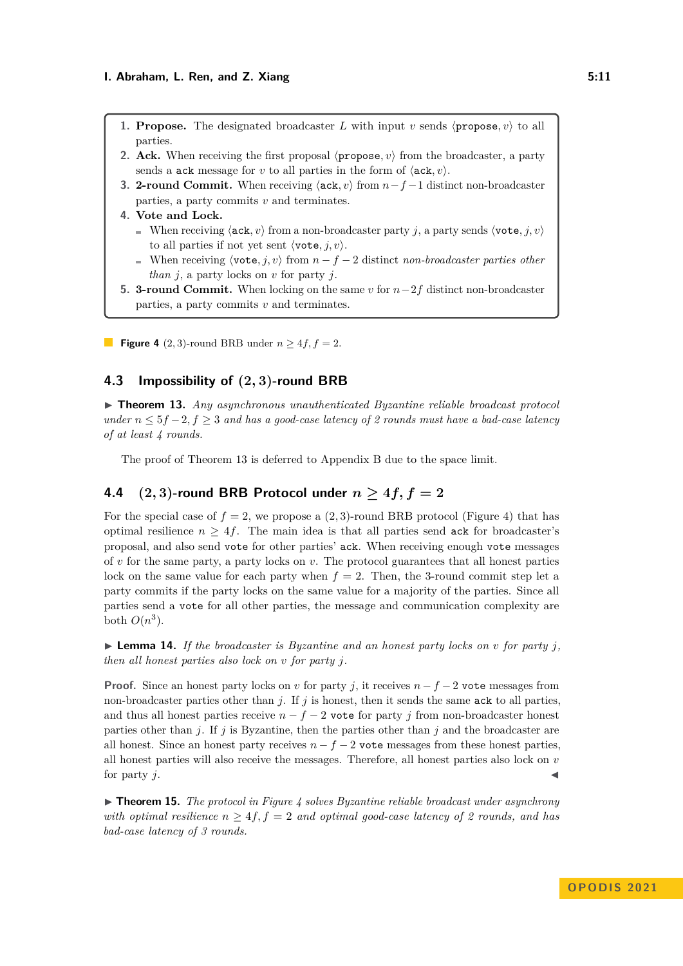- <span id="page-10-2"></span>**1. Propose.** The designated broadcaster *L* with input *v* sends  $\langle$  **propose**, *v* $\rangle$  to all parties.
- **2. Ack.** When receiving the first proposal  $\langle$ **propose**,  $v \rangle$  from the broadcaster, a party sends a ack message for *v* to all parties in the form of  $\langle$  ack, *v* $\rangle$ .
- <span id="page-10-3"></span>**3. 2-round Commit.** When receiving ⟨ack*, v*⟩ from *n*−*f* −1 distinct non-broadcaster parties, a party commits *v* and terminates.
- **4. Vote and Lock.**
	- When receiving  $\langle \text{ack}, v \rangle$  from a non-broadcaster party *j*, a party sends  $\langle \text{vote}, j, v \rangle$ to all parties if not yet sent  $\langle \text{vote}, j, v \rangle$ .
	- When receiving  $\langle \text{vote}, j, v \rangle$  from  $n f 2$  distinct *non-broadcaster parties other than j*, a party locks on *v* for party *j*.
- <span id="page-10-4"></span>**5. 3-round Commit.** When locking on the same *v* for *n*−2*f* distinct non-broadcaster parties, a party commits *v* and terminates.
- **Figure 4** (2, 3)-round BRB under  $n \geq 4f$ ,  $f = 2$ .

### **4.3 Impossibility of (2***,* **3)-round BRB**

<span id="page-10-0"></span>▶ **Theorem 13.** *Any asynchronous unauthenticated Byzantine reliable broadcast protocol under*  $n \leq 5f - 2, f \geq 3$  *and has a good-case latency of 2 rounds must have a bad-case latency of at least 4 rounds.*

The proof of Theorem [13](#page-10-0) is deferred to Appendix [B](#page-17-0) due to the space limit.

# **4.4** (2, 3)-round BRB Protocol under  $n \geq 4f, f = 2$

For the special case of  $f = 2$ , we propose a  $(2, 3)$ -round BRB protocol (Figure [4\)](#page-10-2) that has optimal resilience  $n \geq 4f$ . The main idea is that all parties send ack for broadcaster's proposal, and also send vote for other parties' ack. When receiving enough vote messages of  $v$  for the same party, a party locks on  $v$ . The protocol guarantees that all honest parties lock on the same value for each party when  $f = 2$ . Then, the 3-round commit step let a party commits if the party locks on the same value for a majority of the parties. Since all parties send a vote for all other parties, the message and communication complexity are both  $O(n^3)$ .

<span id="page-10-5"></span> $\triangleright$  **Lemma 14.** If the broadcaster is Byzantine and an honest party locks on *v* for party *j*, *then all honest parties also lock on v for party j.*

**Proof.** Since an honest party locks on *v* for party *j*, it receives  $n - f - 2$  vote messages from non-broadcaster parties other than *j*. If *j* is honest, then it sends the same ack to all parties, and thus all honest parties receive  $n - f - 2$  vote for party *j* from non-broadcaster honest parties other than *j*. If *j* is Byzantine, then the parties other than *j* and the broadcaster are all honest. Since an honest party receives  $n - f - 2$  vote messages from these honest parties, all honest parties will also receive the messages. Therefore, all honest parties also lock on *v* for party  $j$ .

<span id="page-10-1"></span>▶ **Theorem 15.** *The protocol in Figure [4](#page-10-2) solves Byzantine reliable broadcast under asynchrony with optimal resilience*  $n \geq 4f$ ,  $f = 2$  *and optimal good-case latency of 2 rounds, and has bad-case latency of 3 rounds.*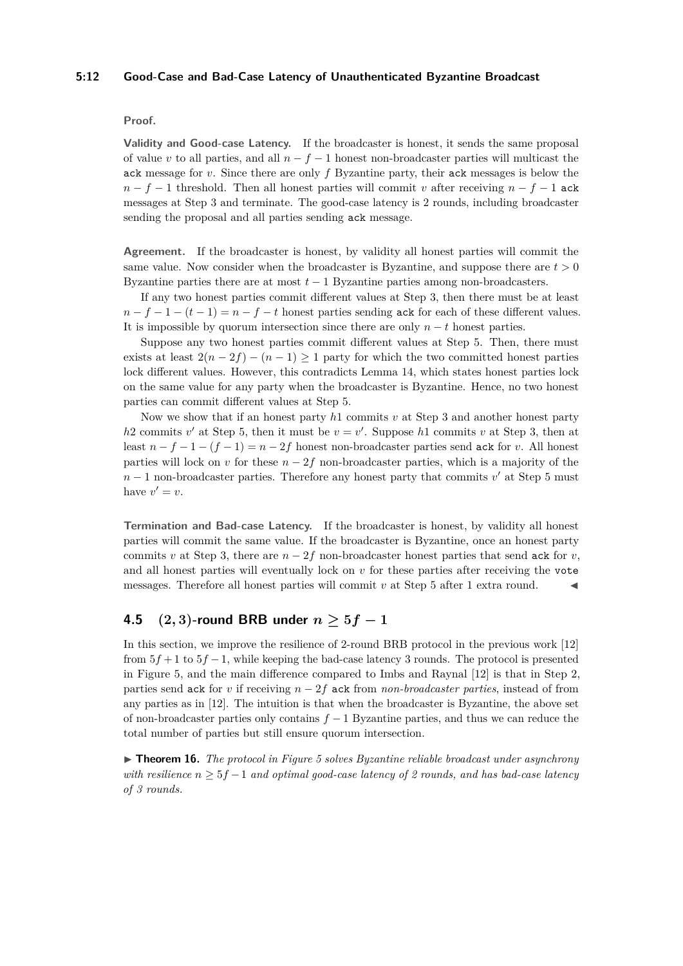#### **5:12 Good-Case and Bad-Case Latency of Unauthenticated Byzantine Broadcast**

### **Proof.**

**Validity and Good-case Latency.** If the broadcaster is honest, it sends the same proposal of value *v* to all parties, and all *n* − *f* − 1 honest non-broadcaster parties will multicast the ack message for *v*. Since there are only *f* Byzantine party, their ack messages is below the  $n - f - 1$  threshold. Then all honest parties will commit *v* after receiving  $n - f - 1$  ack messages at Step [3](#page-10-3) and terminate. The good-case latency is 2 rounds, including broadcaster sending the proposal and all parties sending ack message.

**Agreement.** If the broadcaster is honest, by validity all honest parties will commit the same value. Now consider when the broadcaster is Byzantine, and suppose there are  $t > 0$ Byzantine parties there are at most *t* − 1 Byzantine parties among non-broadcasters.

If any two honest parties commit different values at Step [3,](#page-10-3) then there must be at least  $n - f - 1 - (t - 1) = n - f - t$  honest parties sending ack for each of these different values. It is impossible by quorum intersection since there are only  $n - t$  honest parties.

Suppose any two honest parties commit different values at Step [5.](#page-10-4) Then, there must exists at least  $2(n-2f) - (n-1) \geq 1$  party for which the two committed honest parties lock different values. However, this contradicts Lemma [14,](#page-10-5) which states honest parties lock on the same value for any party when the broadcaster is Byzantine. Hence, no two honest parties can commit different values at Step [5.](#page-10-4)

Now we show that if an honest party *h*1 commits *v* at Step [3](#page-10-3) and another honest party  $h$ 2 commits  $v'$  at Step [5,](#page-10-4) then it must be  $v = v'$ . Suppose  $h$ 1 commits  $v$  at Step [3,](#page-5-3) then at least  $n - f - 1 - (f - 1) = n - 2f$  honest non-broadcaster parties send ack for *v*. All honest parties will lock on *v* for these  $n - 2f$  non-broadcaster parties, which is a majority of the *n* − 1 non-broadcaster parties. Therefore any honest party that commits *v*<sup>'</sup> at Step [5](#page-10-4) must have  $v' = v$ .

**Termination and Bad-case Latency.** If the broadcaster is honest, by validity all honest parties will commit the same value. If the broadcaster is Byzantine, once an honest party commits *v* at Step [3,](#page-10-3) there are  $n-2f$  non-broadcaster honest parties that send ack for *v*, and all honest parties will eventually lock on *v* for these parties after receiving the vote messages. Therefore all honest parties will commit  $v$  at Step  $5$  after 1 extra round.

# **4.5**  $(2, 3)$ -round BRB under  $n > 5f - 1$

In this section, we improve the resilience of 2-round BRB protocol in the previous work [\[12\]](#page-16-0) from 5*f* + 1 to 5*f* −1, while keeping the bad-case latency 3 rounds. The protocol is presented in Figure [5,](#page-12-1) and the main difference compared to Imbs and Raynal [\[12\]](#page-16-0) is that in Step [2,](#page-12-2) parties send ack for *v* if receiving *n* − 2*f* ack from *non-broadcaster parties*, instead of from any parties as in [\[12\]](#page-16-0). The intuition is that when the broadcaster is Byzantine, the above set of non-broadcaster parties only contains *f* − 1 Byzantine parties, and thus we can reduce the total number of parties but still ensure quorum intersection.

<span id="page-11-0"></span>▶ **Theorem 16.** *The protocol in Figure [5](#page-12-1) solves Byzantine reliable broadcast under asynchrony with resilience n* ≥ 5*f* −1 *and optimal good-case latency of 2 rounds, and has bad-case latency of 3 rounds.*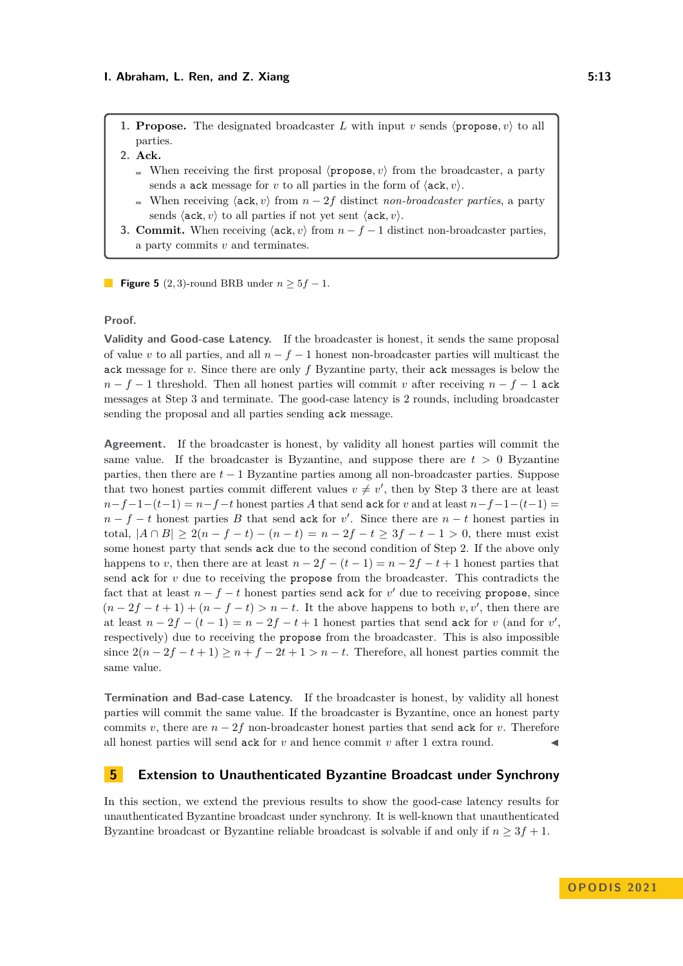<span id="page-12-1"></span>**1. Propose.** The designated broadcaster *L* with input *v* sends  $\langle$  propose, *v* $\rangle$  to all parties.

- <span id="page-12-2"></span>**2. Ack.**
	- When receiving the first proposal  $\langle$ **propose**, *v* $\rangle$  from the broadcaster, a party sends a ack message for *v* to all parties in the form of  $\langle$  ack, *v* $\rangle$ .
	- When receiving  $\langle \text{ack}, v \rangle$  from  $n 2f$  distinct *non-broadcaster parties*, a party sends  $\langle$ **ack**, *v* $\rangle$  to all parties if not yet sent  $\langle$ **ack**, *v* $\rangle$ .
- <span id="page-12-3"></span>**3. Commit.** When receiving  $\langle \text{ack}, v \rangle$  from  $n - f - 1$  distinct non-broadcaster parties, a party commits *v* and terminates.

**Figure 5** (2, 3)-round BRB under  $n > 5f - 1$ .

### **Proof.**

**Validity and Good-case Latency.** If the broadcaster is honest, it sends the same proposal of value *v* to all parties, and all *n* − *f* − 1 honest non-broadcaster parties will multicast the ack message for *v*. Since there are only *f* Byzantine party, their ack messages is below the  $n - f - 1$  threshold. Then all honest parties will commit *v* after receiving  $n - f - 1$  ack messages at Step [3](#page-5-3) and terminate. The good-case latency is 2 rounds, including broadcaster sending the proposal and all parties sending ack message.

**Agreement.** If the broadcaster is honest, by validity all honest parties will commit the same value. If the broadcaster is Byzantine, and suppose there are  $t > 0$  Byzantine parties, then there are  $t - 1$  Byzantine parties among all non-broadcaster parties. Suppose that two honest parties commit different values  $v \neq v'$ , then by Step [3](#page-12-3) there are at least  $n-f-1-(t-1) = n-f-t$  honest parties *A* that send ack for *v* and at least  $n-f-1-(t-1) =$  $n - f - t$  honest parties *B* that send ack for *v*<sup>'</sup>. Since there are  $n - t$  honest parties in total,  $|A \cap B|$  ≥ 2(*n* − *f* − *t*) − (*n* − *t*) = *n* − 2*f* − *t* ≥ 3*f* − *t* − 1 > 0, there must exist some honest party that sends ack due to the second condition of Step [2.](#page-12-2) If the above only happens to *v*, then there are at least  $n - 2f - (t - 1) = n - 2f - t + 1$  honest parties that send  $ack$  for  $v$  due to receiving the propose from the broadcaster. This contradicts the fact that at least  $n - f - t$  honest parties send ack for  $v'$  due to receiving propose, since  $(n-2f-t+1)+(n-f-t)>n-t$ . It the above happens to both  $v, v'$ , then there are at least  $n - 2f - (t - 1) = n - 2f - t + 1$  honest parties that send ack for *v* (and for *v'*, respectively) due to receiving the propose from the broadcaster. This is also impossible since  $2(n-2f-t+1) \geq n+f-2t+1 > n-t$ . Therefore, all honest parties commit the same value.

**Termination and Bad-case Latency.** If the broadcaster is honest, by validity all honest parties will commit the same value. If the broadcaster is Byzantine, once an honest party commits *v*, there are  $n-2f$  non-broadcaster honest parties that send ack for *v*. Therefore all honest parties will send  $ack for v$  and hence commit  $v$  after 1 extra round.

### <span id="page-12-0"></span>**5 Extension to Unauthenticated Byzantine Broadcast under Synchrony**

In this section, we extend the previous results to show the good-case latency results for unauthenticated Byzantine broadcast under synchrony. It is well-known that unauthenticated Byzantine broadcast or Byzantine reliable broadcast is solvable if and only if  $n \geq 3f + 1$ .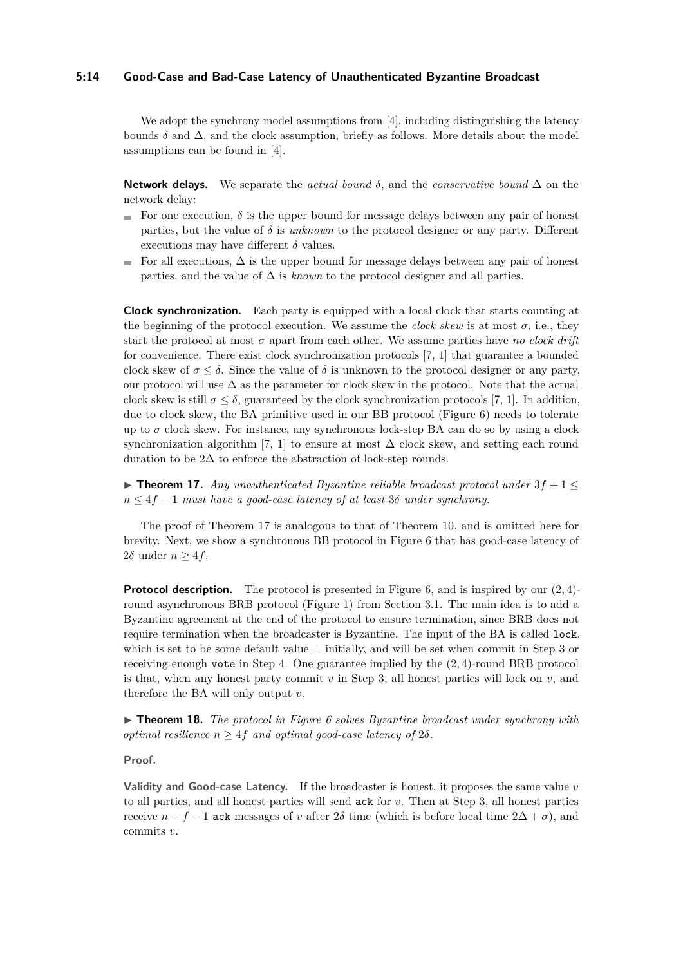#### **5:14 Good-Case and Bad-Case Latency of Unauthenticated Byzantine Broadcast**

We adopt the synchrony model assumptions from [\[4\]](#page-15-0), including distinguishing the latency bounds  $\delta$  and  $\Delta$ , and the clock assumption, briefly as follows. More details about the model assumptions can be found in [\[4\]](#page-15-0).

**Network delays.** We separate the *actual bound*  $\delta$ , and the *conservative bound*  $\Delta$  on the network delay:

- For one execution,  $\delta$  is the upper bound for message delays between any pair of honest parties, but the value of *δ* is *unknown* to the protocol designer or any party. Different executions may have different  $\delta$  values.
- For all executions,  $\Delta$  is the upper bound for message delays between any pair of honest parties, and the value of ∆ is *known* to the protocol designer and all parties.

**Clock synchronization.** Each party is equipped with a local clock that starts counting at the beginning of the protocol execution. We assume the *clock skew* is at most  $\sigma$ , i.e., they start the protocol at most  $\sigma$  apart from each other. We assume parties have *no clock drift* for convenience. There exist clock synchronization protocols [\[7,](#page-15-6) [1\]](#page-15-7) that guarantee a bounded clock skew of  $\sigma \leq \delta$ . Since the value of  $\delta$  is unknown to the protocol designer or any party, our protocol will use  $\Delta$  as the parameter for clock skew in the protocol. Note that the actual clock skew is still  $\sigma \leq \delta$ , guaranteed by the clock synchronization protocols [\[7,](#page-15-6) [1\]](#page-15-7). In addition, due to clock skew, the BA primitive used in our BB protocol (Figure [6\)](#page-14-0) needs to tolerate up to  $\sigma$  clock skew. For instance, any synchronous lock-step BA can do so by using a clock synchronization algorithm [\[7,](#page-15-6) [1\]](#page-15-7) to ensure at most  $\Delta$  clock skew, and setting each round duration to be 2 $\Delta$  to enforce the abstraction of lock-step rounds.

<span id="page-13-1"></span>▶ **Theorem 17.** *Any unauthenticated Byzantine reliable broadcast protocol under* 3*f* + 1 ≤ *n* ≤ 4*f* − 1 *must have a good-case latency of at least* 3*δ under synchrony.*

The proof of Theorem [17](#page-13-1) is analogous to that of Theorem [10,](#page-6-0) and is omitted here for brevity. Next, we show a synchronous BB protocol in Figure [6](#page-14-0) that has good-case latency of 2*δ* under  $n \geq 4f$ .

**Protocol description.** The protocol is presented in Figure [6,](#page-14-0) and is inspired by our  $(2, 4)$ round asynchronous BRB protocol (Figure [1\)](#page-5-1) from Section [3.1.](#page-4-0) The main idea is to add a Byzantine agreement at the end of the protocol to ensure termination, since BRB does not require termination when the broadcaster is Byzantine. The input of the BA is called lock, which is set to be some default value ⊥ initially, and will be set when commit in Step [3](#page-14-1) or receiving enough vote in Step [4.](#page-14-2) One guarantee implied by the (2*,* 4)-round BRB protocol is that, when any honest party commit  $v$  in Step [3,](#page-14-1) all honest parties will lock on  $v$ , and therefore the BA will only output *v*.

<span id="page-13-0"></span>▶ **Theorem 18.** *The protocol in Figure [6](#page-14-0) solves Byzantine broadcast under synchrony with optimal resilience*  $n \geq 4f$  *and optimal good-case latency of*  $2\delta$ *.* 

#### **Proof.**

**Validity and Good-case Latency.** If the broadcaster is honest, it proposes the same value *v* to all parties, and all honest parties will send ack for *v*. Then at Step [3,](#page-14-1) all honest parties receive  $n - f - 1$  ack messages of *v* after 2 $\delta$  time (which is before local time  $2\Delta + \sigma$ ), and commits *v*.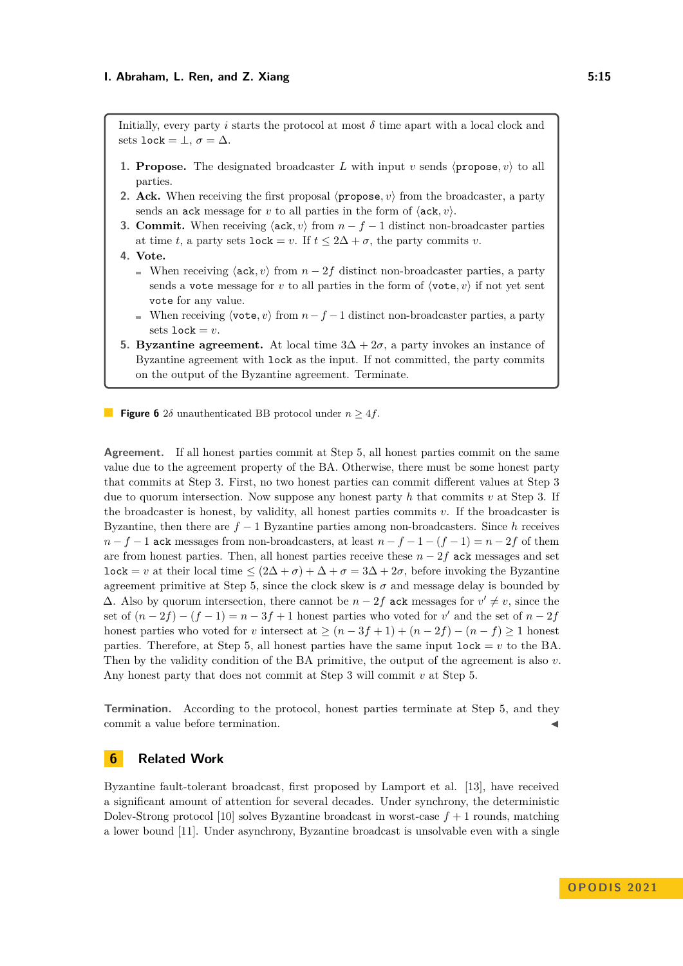<span id="page-14-0"></span>Initially, every party *i* starts the protocol at most  $\delta$  time apart with a local clock and sets lock =  $\bot$ ,  $\sigma = \Delta$ .

- **1. Propose.** The designated broadcaster *L* with input *v* sends  $\langle$  **propose**, *v* $\rangle$  to all parties.
- **2. Ack.** When receiving the first proposal  $\langle$ **propose**,  $v \rangle$  from the broadcaster, a party sends an ack message for *v* to all parties in the form of  $\langle$ ack, *v* $\rangle$ .
- <span id="page-14-1"></span>**3. Commit.** When receiving  $\langle \text{ack}, v \rangle$  from  $n - f - 1$  distinct non-broadcaster parties at time *t*, a party sets lock = *v*. If  $t \leq 2\Delta + \sigma$ , the party commits *v*.
- <span id="page-14-2"></span>**4. Vote.**
	- When receiving  $\langle \text{ack}, v \rangle$  from  $n 2f$  distinct non-broadcaster parties, a party sends a vote message for *v* to all parties in the form of  $\langle \text{vote}, v \rangle$  if not yet sent vote for any value.
	- When receiving  $\langle \text{vote}, v \rangle$  from  $n f 1$  distinct non-broadcaster parties, a party sets  $lock = v$ .
- <span id="page-14-3"></span>**5. Byzantine agreement.** At local time  $3\Delta + 2\sigma$ , a party invokes an instance of Byzantine agreement with lock as the input. If not committed, the party commits on the output of the Byzantine agreement. Terminate.

**Figure 6** 2 $\delta$  unauthenticated BB protocol under  $n \geq 4f$ .

**Agreement.** If all honest parties commit at Step [5,](#page-14-3) all honest parties commit on the same value due to the agreement property of the BA. Otherwise, there must be some honest party that commits at Step [3.](#page-14-1) First, no two honest parties can commit different values at Step [3](#page-14-1) due to quorum intersection. Now suppose any honest party *h* that commits *v* at Step [3.](#page-14-1) If the broadcaster is honest, by validity, all honest parties commits *v*. If the broadcaster is Byzantine, then there are  $f - 1$  Byzantine parties among non-broadcasters. Since  $h$  receives  $n - f - 1$  ack messages from non-broadcasters, at least  $n - f - 1 - (f - 1) = n - 2f$  of them are from honest parties. Then, all honest parties receive these  $n - 2f$  ack messages and set lock = *v* at their local time  $\leq (2\Delta + \sigma) + \Delta + \sigma = 3\Delta + 2\sigma$ , before invoking the Byzantine agreement primitive at Step [5,](#page-14-3) since the clock skew is  $\sigma$  and message delay is bounded by  $\Delta$ . Also by quorum intersection, there cannot be  $n - 2f$  ack messages for  $v' \neq v$ , since the set of  $(n-2f) - (f-1) = n-3f+1$  honest parties who voted for *v'* and the set of  $n-2f$ honest parties who voted for *v* intersect at  $\geq (n-3f+1) + (n-2f) - (n-f) \geq 1$  honest parties. Therefore, at Step [5,](#page-14-3) all honest parties have the same input  $lock = v$  to the BA. Then by the validity condition of the BA primitive, the output of the agreement is also *v*. Any honest party that does not commit at Step [3](#page-14-1) will commit *v* at Step [5.](#page-14-3)

**Termination.** According to the protocol, honest parties terminate at Step [5,](#page-14-3) and they commit a value before termination.

### **6 Related Work**

Byzantine fault-tolerant broadcast, first proposed by Lamport et al. [\[13\]](#page-16-2), have received a significant amount of attention for several decades. Under synchrony, the deterministic Dolev-Strong protocol [\[10\]](#page-15-8) solves Byzantine broadcast in worst-case  $f + 1$  rounds, matching a lower bound [\[11\]](#page-15-4). Under asynchrony, Byzantine broadcast is unsolvable even with a single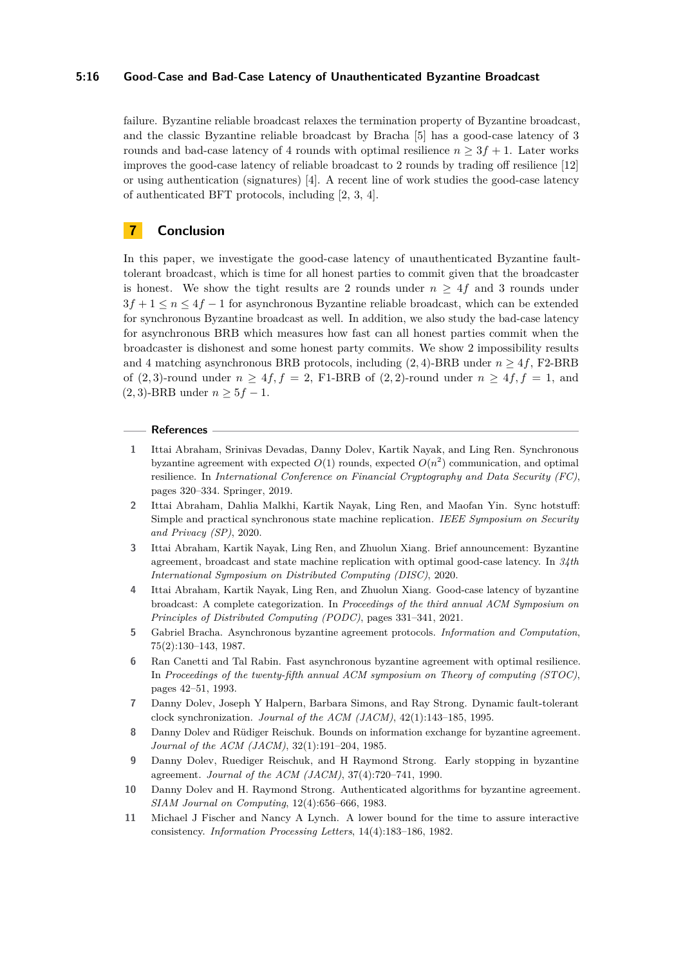#### **5:16 Good-Case and Bad-Case Latency of Unauthenticated Byzantine Broadcast**

failure. Byzantine reliable broadcast relaxes the termination property of Byzantine broadcast, and the classic Byzantine reliable broadcast by Bracha [\[5\]](#page-15-1) has a good-case latency of 3 rounds and bad-case latency of 4 rounds with optimal resilience  $n \geq 3f + 1$ . Later works improves the good-case latency of reliable broadcast to 2 rounds by trading off resilience [\[12\]](#page-16-0) or using authentication (signatures) [\[4\]](#page-15-0). A recent line of work studies the good-case latency of authenticated BFT protocols, including [\[2,](#page-15-9) [3,](#page-15-10) [4\]](#page-15-0).

# **7 Conclusion**

In this paper, we investigate the good-case latency of unauthenticated Byzantine faulttolerant broadcast, which is time for all honest parties to commit given that the broadcaster is honest. We show the tight results are 2 rounds under  $n \geq 4f$  and 3 rounds under 3*f* + 1 ≤ *n* ≤ 4*f* − 1 for asynchronous Byzantine reliable broadcast, which can be extended for synchronous Byzantine broadcast as well. In addition, we also study the bad-case latency for asynchronous BRB which measures how fast can all honest parties commit when the broadcaster is dishonest and some honest party commits. We show 2 impossibility results and 4 matching asynchronous BRB protocols, including  $(2, 4)$ -BRB under  $n \geq 4f$ , F2-BRB of  $(2,3)$ -round under  $n \geq 4f$ ,  $f = 2$ , F1-BRB of  $(2,2)$ -round under  $n \geq 4f$ ,  $f = 1$ , and  $(2, 3)$ -BRB under  $n \geq 5f - 1$ .

#### **References**

- <span id="page-15-7"></span>**1** Ittai Abraham, Srinivas Devadas, Danny Dolev, Kartik Nayak, and Ling Ren. Synchronous byzantine agreement with expected  $O(1)$  rounds, expected  $O(n^2)$  communication, and optimal resilience. In *International Conference on Financial Cryptography and Data Security (FC)*, pages 320–334. Springer, 2019.
- <span id="page-15-9"></span>**2** Ittai Abraham, Dahlia Malkhi, Kartik Nayak, Ling Ren, and Maofan Yin. Sync hotstuff: Simple and practical synchronous state machine replication. *IEEE Symposium on Security and Privacy (SP)*, 2020.
- <span id="page-15-10"></span>**3** Ittai Abraham, Kartik Nayak, Ling Ren, and Zhuolun Xiang. Brief announcement: Byzantine agreement, broadcast and state machine replication with optimal good-case latency. In *34th International Symposium on Distributed Computing (DISC)*, 2020.
- <span id="page-15-0"></span>**4** Ittai Abraham, Kartik Nayak, Ling Ren, and Zhuolun Xiang. Good-case latency of byzantine broadcast: A complete categorization. In *Proceedings of the third annual ACM Symposium on Principles of Distributed Computing (PODC)*, pages 331–341, 2021.
- <span id="page-15-1"></span>**5** Gabriel Bracha. Asynchronous byzantine agreement protocols. *Information and Computation*, 75(2):130–143, 1987.
- <span id="page-15-3"></span>**6** Ran Canetti and Tal Rabin. Fast asynchronous byzantine agreement with optimal resilience. In *Proceedings of the twenty-fifth annual ACM symposium on Theory of computing (STOC)*, pages 42–51, 1993.
- <span id="page-15-6"></span>**7** Danny Dolev, Joseph Y Halpern, Barbara Simons, and Ray Strong. Dynamic fault-tolerant clock synchronization. *Journal of the ACM (JACM)*, 42(1):143–185, 1995.
- <span id="page-15-5"></span>**8** Danny Dolev and Rüdiger Reischuk. Bounds on information exchange for byzantine agreement. *Journal of the ACM (JACM)*, 32(1):191–204, 1985.
- <span id="page-15-2"></span>**9** Danny Dolev, Ruediger Reischuk, and H Raymond Strong. Early stopping in byzantine agreement. *Journal of the ACM (JACM)*, 37(4):720–741, 1990.
- <span id="page-15-8"></span>**10** Danny Dolev and H. Raymond Strong. Authenticated algorithms for byzantine agreement. *SIAM Journal on Computing*, 12(4):656–666, 1983.
- <span id="page-15-4"></span>**11** Michael J Fischer and Nancy A Lynch. A lower bound for the time to assure interactive consistency. *Information Processing Letters*, 14(4):183–186, 1982.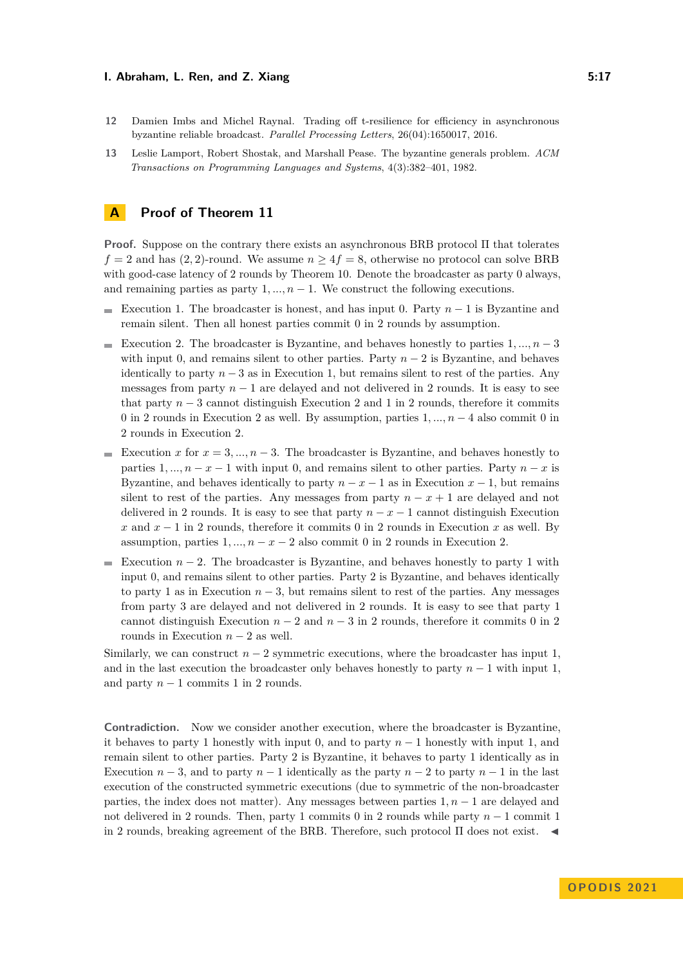#### **I. Abraham, L. Ren, and Z. Xiang 5:17 5:17**

- <span id="page-16-0"></span>**12** Damien Imbs and Michel Raynal. Trading off t-resilience for efficiency in asynchronous byzantine reliable broadcast. *Parallel Processing Letters*, 26(04):1650017, 2016.
- <span id="page-16-2"></span>**13** Leslie Lamport, Robert Shostak, and Marshall Pease. The byzantine generals problem. *ACM Transactions on Programming Languages and Systems*, 4(3):382–401, 1982.

# <span id="page-16-1"></span>**A Proof of Theorem [11](#page-9-0)**

**Proof.** Suppose on the contrary there exists an asynchronous BRB protocol Π that tolerates  $f = 2$  and has (2, 2)-round. We assume  $n \geq 4f = 8$ , otherwise no protocol can solve BRB with good-case latency of 2 rounds by Theorem [10.](#page-6-0) Denote the broadcaster as party 0 always, and remaining parties as party  $1, ..., n - 1$ . We construct the following executions.

- Execution 1. The broadcaster is honest, and has input 0. Party *n* − 1 is Byzantine and  $\sim$ remain silent. Then all honest parties commit 0 in 2 rounds by assumption.
- Execution 2. The broadcaster is Byzantine, and behaves honestly to parties  $1, ..., n-3$ with input 0, and remains silent to other parties. Party  $n-2$  is Byzantine, and behaves identically to party  $n-3$  as in Execution 1, but remains silent to rest of the parties. Any messages from party  $n-1$  are delayed and not delivered in 2 rounds. It is easy to see that party  $n-3$  cannot distinguish Execution 2 and 1 in 2 rounds, therefore it commits 0 in 2 rounds in Execution 2 as well. By assumption, parties 1*, ..., n* − 4 also commit 0 in 2 rounds in Execution 2.
- Execution *x* for  $x = 3, ..., n-3$ . The broadcaster is Byzantine, and behaves honestly to parties  $1, ..., n - x - 1$  with input 0, and remains silent to other parties. Party  $n - x$  is Byzantine, and behaves identically to party  $n - x - 1$  as in Execution  $x - 1$ , but remains silent to rest of the parties. Any messages from party  $n - x + 1$  are delayed and not delivered in 2 rounds. It is easy to see that party  $n - x - 1$  cannot distinguish Execution *x* and  $x - 1$  in 2 rounds, therefore it commits 0 in 2 rounds in Execution *x* as well. By assumption, parties  $1, ..., n - x - 2$  also commit 0 in 2 rounds in Execution 2.
- Execution  $n-2$ . The broadcaster is Byzantine, and behaves honestly to party 1 with input 0, and remains silent to other parties. Party 2 is Byzantine, and behaves identically to party 1 as in Execution  $n-3$ , but remains silent to rest of the parties. Any messages from party 3 are delayed and not delivered in 2 rounds. It is easy to see that party 1 cannot distinguish Execution  $n-2$  and  $n-3$  in 2 rounds, therefore it commits 0 in 2 rounds in Execution  $n-2$  as well.

Similarly, we can construct  $n-2$  symmetric executions, where the broadcaster has input 1, and in the last execution the broadcaster only behaves honestly to party  $n-1$  with input 1, and party  $n-1$  commits 1 in 2 rounds.

**Contradiction.** Now we consider another execution, where the broadcaster is Byzantine, it behaves to party 1 honestly with input 0, and to party  $n-1$  honestly with input 1, and remain silent to other parties. Party 2 is Byzantine, it behaves to party 1 identically as in Execution  $n-3$ , and to party  $n-1$  identically as the party  $n-2$  to party  $n-1$  in the last execution of the constructed symmetric executions (due to symmetric of the non-broadcaster parties, the index does not matter). Any messages between parties 1*, n* − 1 are delayed and not delivered in 2 rounds. Then, party 1 commits 0 in 2 rounds while party *n* − 1 commit 1 in 2 rounds, breaking agreement of the BRB. Therefore, such protocol  $\Pi$  does not exist.  $\blacktriangleleft$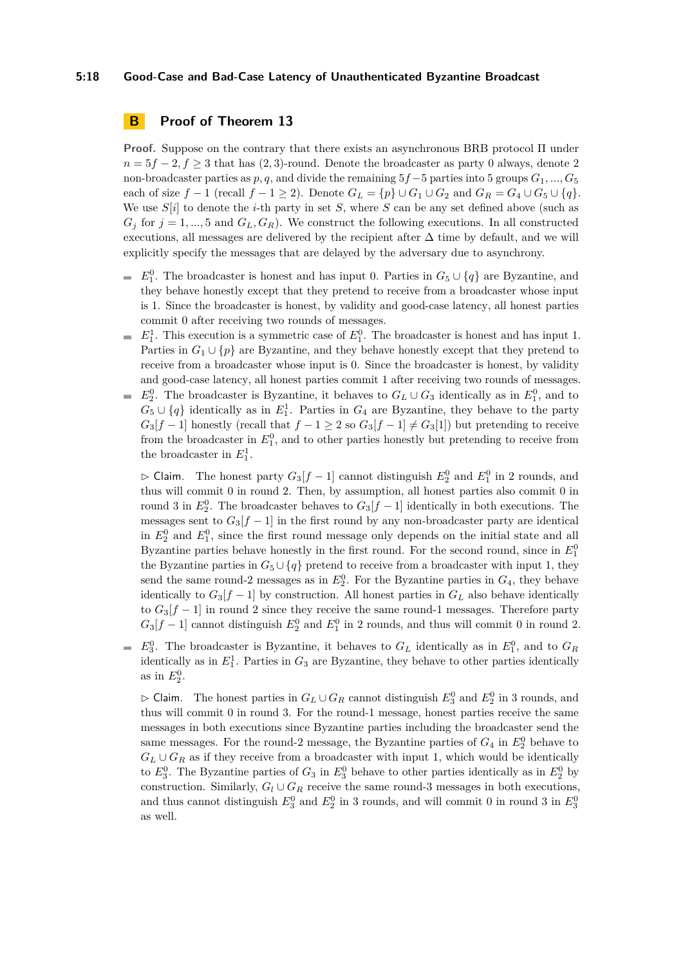#### **5:18 Good-Case and Bad-Case Latency of Unauthenticated Byzantine Broadcast**

# <span id="page-17-0"></span>**B Proof of Theorem [13](#page-10-0)**

**Proof.** Suppose on the contrary that there exists an asynchronous BRB protocol Π under  $n = 5f - 2, f \geq 3$  that has (2, 3)-round. Denote the broadcaster as party 0 always, denote 2 non-broadcaster parties as *p, q*, and divide the remaining 5*f*−5 parties into 5 groups *G*1*, ..., G*<sup>5</sup> each of size  $f - 1$  (recall  $f - 1 \ge 2$ ). Denote  $G_L = \{p\} \cup G_1 \cup G_2$  and  $G_R = G_4 \cup G_5 \cup \{q\}$ . We use  $S[i]$  to denote the *i*-th party in set *S*, where *S* can be any set defined above (such as  $G_i$  for  $j = 1, ..., 5$  and  $G_L, G_R$ ). We construct the following executions. In all constructed executions, all messages are delivered by the recipient after  $\Delta$  time by default, and we will explicitly specify the messages that are delayed by the adversary due to asynchrony.

- $E_1^0$ . The broadcaster is honest and has input 0. Parties in  $G_5 \cup \{q\}$  are Byzantine, and they behave honestly except that they pretend to receive from a broadcaster whose input is 1. Since the broadcaster is honest, by validity and good-case latency, all honest parties commit 0 after receiving two rounds of messages.
- $E_1^1$ . This execution is a symmetric case of  $E_1^0$ . The broadcaster is honest and has input 1.  $\mathcal{L}_{\mathcal{A}}$ Parties in  $G_1 \cup \{p\}$  are Byzantine, and they behave honestly except that they pretend to receive from a broadcaster whose input is 0. Since the broadcaster is honest, by validity and good-case latency, all honest parties commit 1 after receiving two rounds of messages.
- $E_2^0$ . The broadcaster is Byzantine, it behaves to  $G_L \cup G_3$  identically as in  $E_1^0$ , and to  $G_5 \cup \{q\}$  identically as in  $E_1^1$ . Parties in  $G_4$  are Byzantine, they behave to the party  $G_3[f-1]$  honestly (recall that  $f-1 \geq 2$  so  $G_3[f-1] \neq G_3[1]$ ) but pretending to receive from the broadcaster in  $E_1^0$ , and to other parties honestly but pretending to receive from the broadcaster in  $E_1^1$ .

 $\rhd$  Claim. The honest party  $G_3[f-1]$  cannot distinguish  $E_2^0$  and  $E_1^0$  in 2 rounds, and thus will commit 0 in round 2. Then, by assumption, all honest parties also commit 0 in round 3 in  $E_2^0$ . The broadcaster behaves to  $G_3[f-1]$  identically in both executions. The messages sent to  $G_3[f-1]$  in the first round by any non-broadcaster party are identical in  $E_2^0$  and  $E_1^0$ , since the first round message only depends on the initial state and all Byzantine parties behave honestly in the first round. For the second round, since in  $E_1^0$ the Byzantine parties in  $G_5 \cup \{q\}$  pretend to receive from a broadcaster with input 1, they send the same round-2 messages as in  $E_2^0$ . For the Byzantine parties in  $G_4$ , they behave identically to  $G_3[f-1]$  by construction. All honest parties in  $G_L$  also behave identically to  $G_3[f-1]$  in round 2 since they receive the same round-1 messages. Therefore party  $G_3[f-1]$  cannot distinguish  $E_2^0$  and  $E_1^0$  in 2 rounds, and thus will commit 0 in round 2.

 $E_3^0$ . The broadcaster is Byzantine, it behaves to  $G_L$  identically as in  $E_1^0$ , and to  $G_R$ identically as in  $E_1^1$ . Parties in  $G_3$  are Byzantine, they behave to other parties identically as in  $E_2^0$ .

 $\rhd$  Claim. The honest parties in  $G_L \cup G_R$  cannot distinguish  $E_3^0$  and  $E_2^0$  in 3 rounds, and thus will commit 0 in round 3. For the round-1 message, honest parties receive the same messages in both executions since Byzantine parties including the broadcaster send the same messages. For the round-2 message, the Byzantine parties of  $G_4$  in  $E_2^0$  behave to  $G_L \cup G_R$  as if they receive from a broadcaster with input 1, which would be identically to  $E_3^0$ . The Byzantine parties of  $G_3$  in  $E_3^0$  behave to other parties identically as in  $E_2^0$  by construction. Similarly,  $G_l \cup G_R$  receive the same round-3 messages in both executions, and thus cannot distinguish  $E_3^0$  and  $E_2^0$  in 3 rounds, and will commit 0 in round 3 in  $E_3^0$ as well.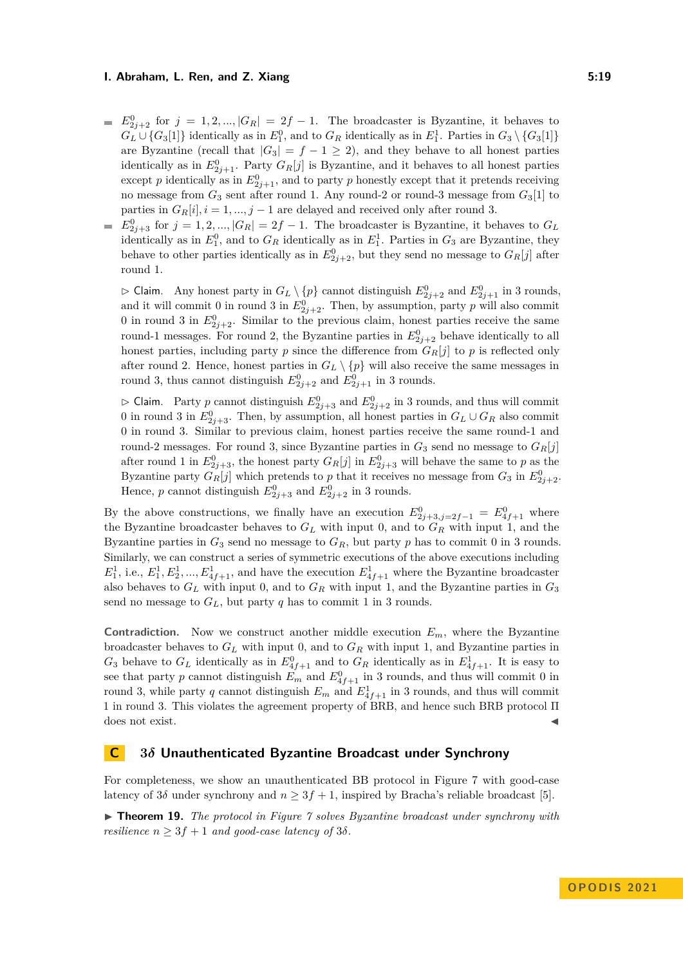#### **1. Abraham, L. Ren, and Z. Xiang 5:19 1. Abraham, L. Ren, and Z. Xiang 5:19**

- $E_{2j+2}^0$  for  $j = 1, 2, ..., |G_R| = 2f 1$ . The broadcaster is Byzantine, it behaves to  $G_L \cup \{G_3[1]\}$  identically as in  $E_1^0$ , and to  $G_R$  identically as in  $E_1^1$ . Parties in  $G_3 \setminus \{G_3[1]\}$ are Byzantine (recall that  $|G_3| = f - 1 \ge 2$ ), and they behave to all honest parties identically as in  $E_{2j+1}^0$ . Party  $G_R[j]$  is Byzantine, and it behaves to all honest parties except *p* identically as in  $E_{2j+1}^0$ , and to party *p* honestly except that it pretends receiving no message from *G*<sup>3</sup> sent after round 1. Any round-2 or round-3 message from *G*3[1] to parties in  $G_R[i], i = 1, ..., j - 1$  are delayed and received only after round 3.
- $E_{2j+3}^0$  for  $j = 1, 2, ..., |G_R| = 2f 1$ . The broadcaster is Byzantine, it behaves to  $G_L$ identically as in  $E_1^0$ , and to  $G_R$  identically as in  $E_1^1$ . Parties in  $G_3$  are Byzantine, they behave to other parties identically as in  $E_{2j+2}^0$ , but they send no message to  $G_R[j]$  after round 1.

 $\triangleright$  Claim. Any honest party in  $G_L \setminus \{p\}$  cannot distinguish  $E_{2j+2}^0$  and  $E_{2j+1}^0$  in 3 rounds, and it will commit 0 in round 3 in  $E_{2j+2}^0$ . Then, by assumption, party p will also commit 0 in round 3 in  $E_{2j+2}^0$ . Similar to the previous claim, honest parties receive the same round-1 messages. For round 2, the Byzantine parties in  $E_{2j+2}^0$  behave identically to all honest parties, including party  $p$  since the difference from  $G_R[j]$  to  $p$  is reflected only after round 2. Hence, honest parties in  $G_L \setminus \{p\}$  will also receive the same messages in round 3, thus cannot distinguish  $E_{2j+2}^0$  and  $E_{2j+1}^0$  in 3 rounds.

 $\triangleright$  Claim. Party *p* cannot distinguish  $E_{2j+3}^0$  and  $E_{2j+2}^0$  in 3 rounds, and thus will commit 0 in round 3 in  $E_{2j+3}^0$ . Then, by assumption, all honest parties in  $G_L \cup G_R$  also commit 0 in round 3. Similar to previous claim, honest parties receive the same round-1 and round-2 messages. For round 3, since Byzantine parties in  $G_3$  send no message to  $G_R[j]$ after round 1 in  $E_{2j+3}^0$ , the honest party  $G_R[j]$  in  $E_{2j+3}^0$  will behave the same to p as the Byzantine party  $G_R[j]$  which pretends to *p* that it receives no message from  $G_3$  in  $E_{2j+2}^0$ . Hence, *p* cannot distinguish  $E_{2j+3}^0$  and  $E_{2j+2}^0$  in 3 rounds.

By the above constructions, we finally have an execution  $E_{2j+3,j=2f-1}^0 = E_{4f+1}^0$  where the Byzantine broadcaster behaves to *G<sup>L</sup>* with input 0, and to *G<sup>R</sup>* with input 1, and the Byzantine parties in  $G_3$  send no message to  $G_R$ , but party p has to commit 0 in 3 rounds. Similarly, we can construct a series of symmetric executions of the above executions including  $E_1^1$ , i.e.,  $E_1^1, E_2^1, ..., E_{4f+1}^1$ , and have the execution  $E_{4f+1}^1$  where the Byzantine broadcaster also behaves to *G<sup>L</sup>* with input 0, and to *G<sup>R</sup>* with input 1, and the Byzantine parties in *G*<sup>3</sup> send no message to  $G_L$ , but party  $q$  has to commit 1 in 3 rounds.

**Contradiction.** Now we construct another middle execution  $E_m$ , where the Byzantine broadcaster behaves to *G<sup>L</sup>* with input 0, and to *G<sup>R</sup>* with input 1, and Byzantine parties in  $G_3$  behave to  $G_L$  identically as in  $E_{4f+1}^0$  and to  $G_R$  identically as in  $E_{4f+1}^1$ . It is easy to see that party *p* cannot distinguish  $E_m$  and  $E_{4f+1}^0$  in 3 rounds, and thus will commit 0 in round 3, while party *q* cannot distinguish  $E_m$  and  $E_{4f+1}^1$  in 3 rounds, and thus will commit 1 in round 3. This violates the agreement property of BRB, and hence such BRB protocol Π  $\cos$  not exist.  $\triangleleft$ 

### **C 3***δ* **Unauthenticated Byzantine Broadcast under Synchrony**

For completeness, we show an unauthenticated BB protocol in Figure [7](#page-19-0) with good-case latency of  $3\delta$  under synchrony and  $n \geq 3f + 1$ , inspired by Bracha's reliable broadcast [\[5\]](#page-15-1).

<span id="page-18-0"></span>▶ **Theorem 19.** *The protocol in Figure [7](#page-19-0) solves Byzantine broadcast under synchrony with resilience*  $n \geq 3f + 1$  *and good-case latency of*  $3\delta$ *.*